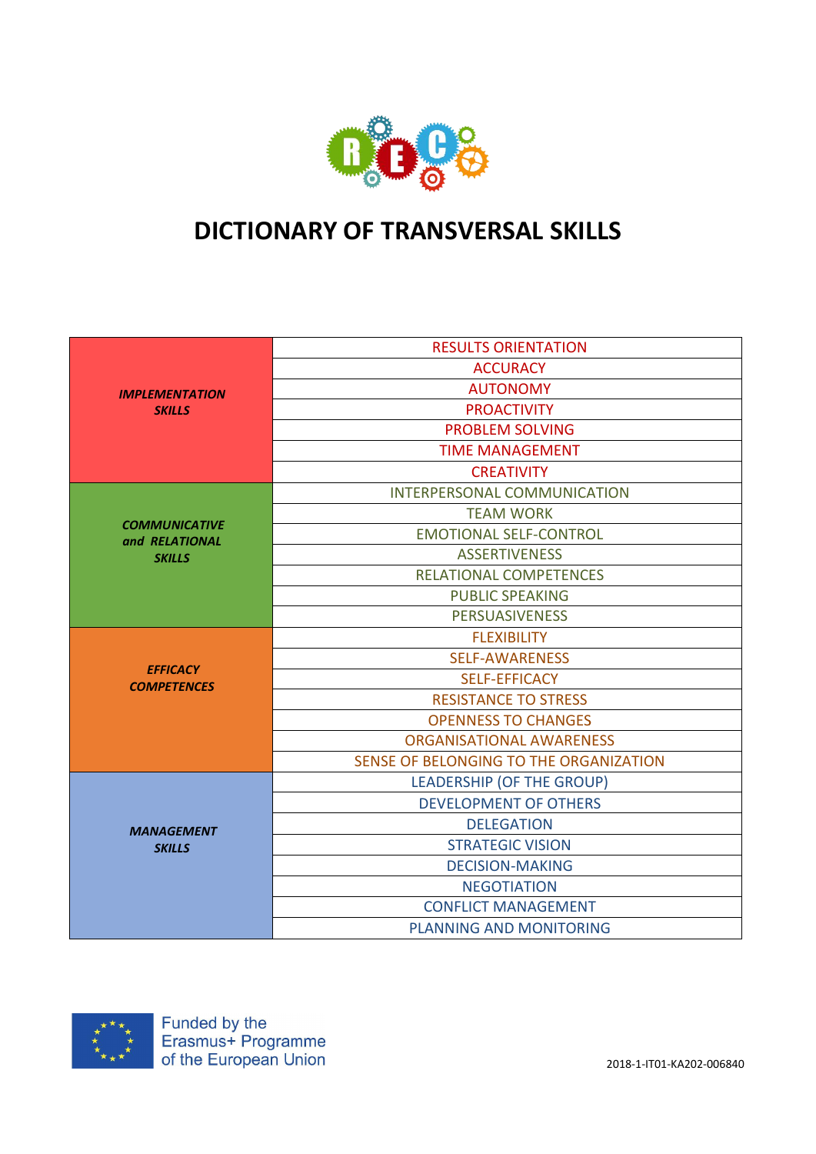

# DICTIONARY OF TRANSVERSAL SKILLS

|                       | <b>RESULTS ORIENTATION</b>             |
|-----------------------|----------------------------------------|
|                       | <b>ACCURACY</b>                        |
| <b>IMPLEMENTATION</b> | <b>AUTONOMY</b>                        |
| <b>SKILLS</b>         | <b>PROACTIVITY</b>                     |
|                       | <b>PROBLEM SOLVING</b>                 |
|                       | <b>TIME MANAGEMENT</b>                 |
|                       | <b>CREATIVITY</b>                      |
|                       | INTERPERSONAL COMMUNICATION            |
| <b>COMMUNICATIVE</b>  | <b>TEAM WORK</b>                       |
| and RELATIONAL        | <b>EMOTIONAL SELF-CONTROL</b>          |
| <b>SKILLS</b>         | <b>ASSERTIVENESS</b>                   |
|                       | <b>RELATIONAL COMPETENCES</b>          |
|                       | <b>PUBLIC SPEAKING</b>                 |
|                       | <b>PERSUASIVENESS</b>                  |
|                       | <b>FLEXIBILITY</b>                     |
| <b>EFFICACY</b>       | <b>SELF-AWARENESS</b>                  |
| <b>COMPETENCES</b>    | <b>SELF-EFFICACY</b>                   |
|                       | <b>RESISTANCE TO STRESS</b>            |
|                       | <b>OPENNESS TO CHANGES</b>             |
|                       | <b>ORGANISATIONAL AWARENESS</b>        |
|                       | SENSE OF BELONGING TO THE ORGANIZATION |
|                       | <b>LEADERSHIP (OF THE GROUP)</b>       |
|                       | <b>DEVELOPMENT OF OTHERS</b>           |
| <b>MANAGEMENT</b>     | <b>DELEGATION</b>                      |
| <b>SKILLS</b>         | <b>STRATEGIC VISION</b>                |
|                       | <b>DECISION-MAKING</b>                 |
|                       | <b>NEGOTIATION</b>                     |
|                       | <b>CONFLICT MANAGEMENT</b>             |
|                       | <b>PLANNING AND MONITORING</b>         |

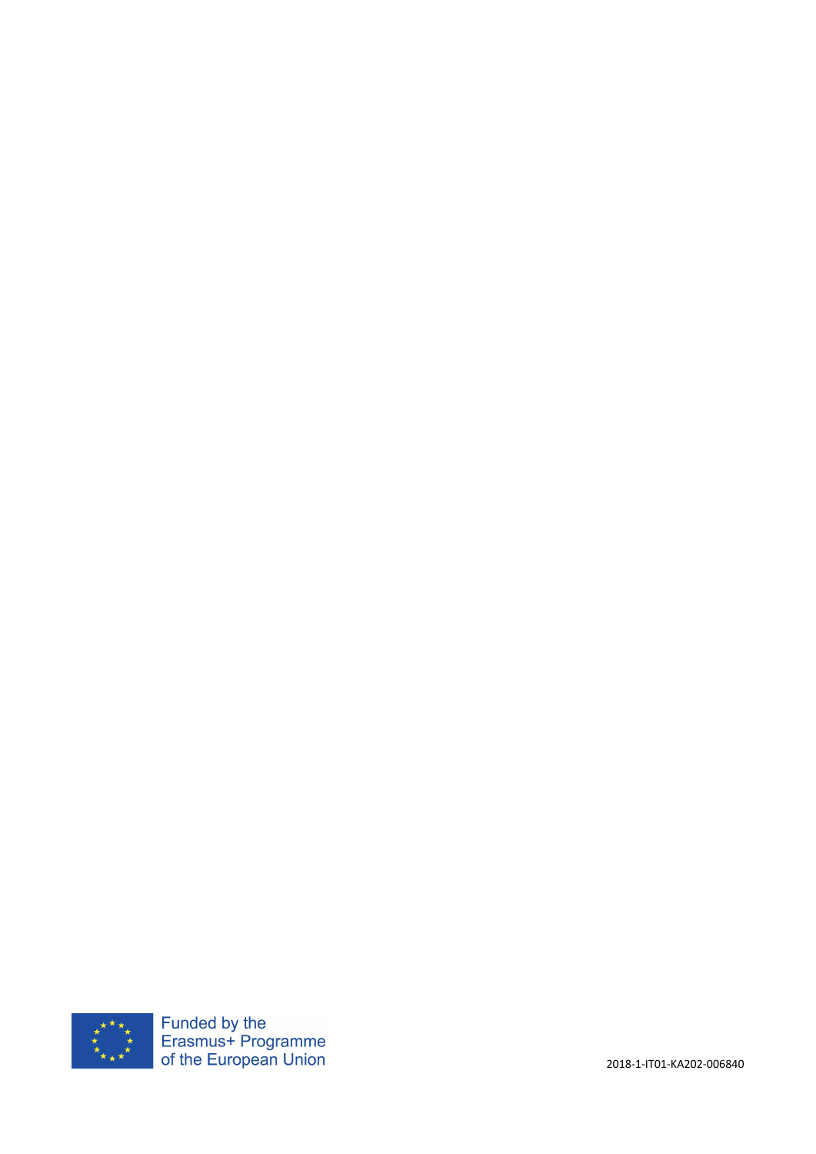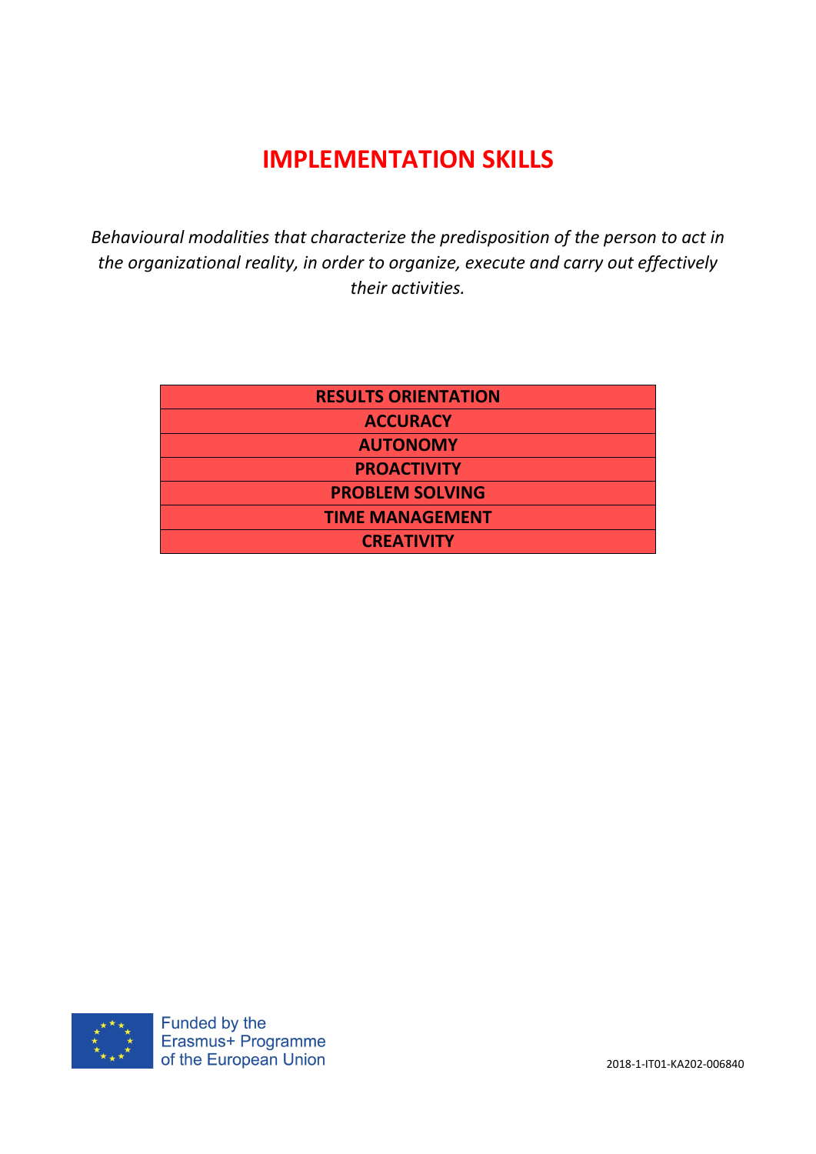# IMPLEMENTATION SKILLS

*Behavioural modalities that characterize the predisposition of the person to act in the organizational reality, in order to organize, execute and carry out effectively their activities.*

| <b>RESULTS ORIENTATION</b> |
|----------------------------|
| <b>ACCURACY</b>            |
| <b>AUTONOMY</b>            |
| <b>PROACTIVITY</b>         |
| <b>PROBLEM SOLVING</b>     |
| <b>TIME MANAGEMENT</b>     |
| <b>CREATIVITY</b>          |

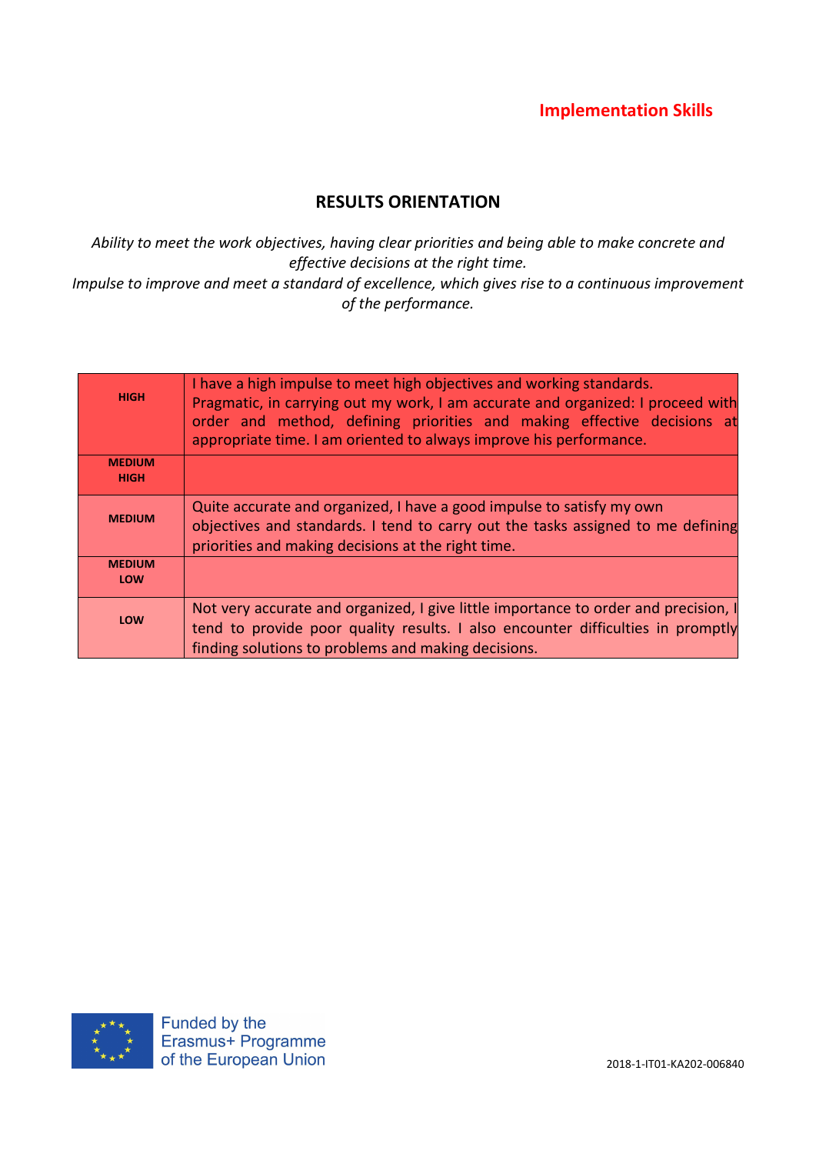### RESULTS ORIENTATION

*Ability to meet the work objectives, having clear priorities and being able to make concrete and effective decisions at the right time. Impulse to improve and meet a standard of excellence, which gives rise to a continuous improvement of the performance.*

| <b>HIGH</b>                  | I have a high impulse to meet high objectives and working standards.<br>Pragmatic, in carrying out my work, I am accurate and organized: I proceed with<br>order and method, defining priorities and making effective decisions at<br>appropriate time. I am oriented to always improve his performance. |
|------------------------------|----------------------------------------------------------------------------------------------------------------------------------------------------------------------------------------------------------------------------------------------------------------------------------------------------------|
| <b>MEDIUM</b><br><b>HIGH</b> |                                                                                                                                                                                                                                                                                                          |
| <b>MEDIUM</b>                | Quite accurate and organized, I have a good impulse to satisfy my own<br>objectives and standards. I tend to carry out the tasks assigned to me defining<br>priorities and making decisions at the right time.                                                                                           |
| <b>MEDIUM</b><br><b>LOW</b>  |                                                                                                                                                                                                                                                                                                          |
| <b>LOW</b>                   | Not very accurate and organized, I give little importance to order and precision, I<br>tend to provide poor quality results. I also encounter difficulties in promptly<br>finding solutions to problems and making decisions.                                                                            |

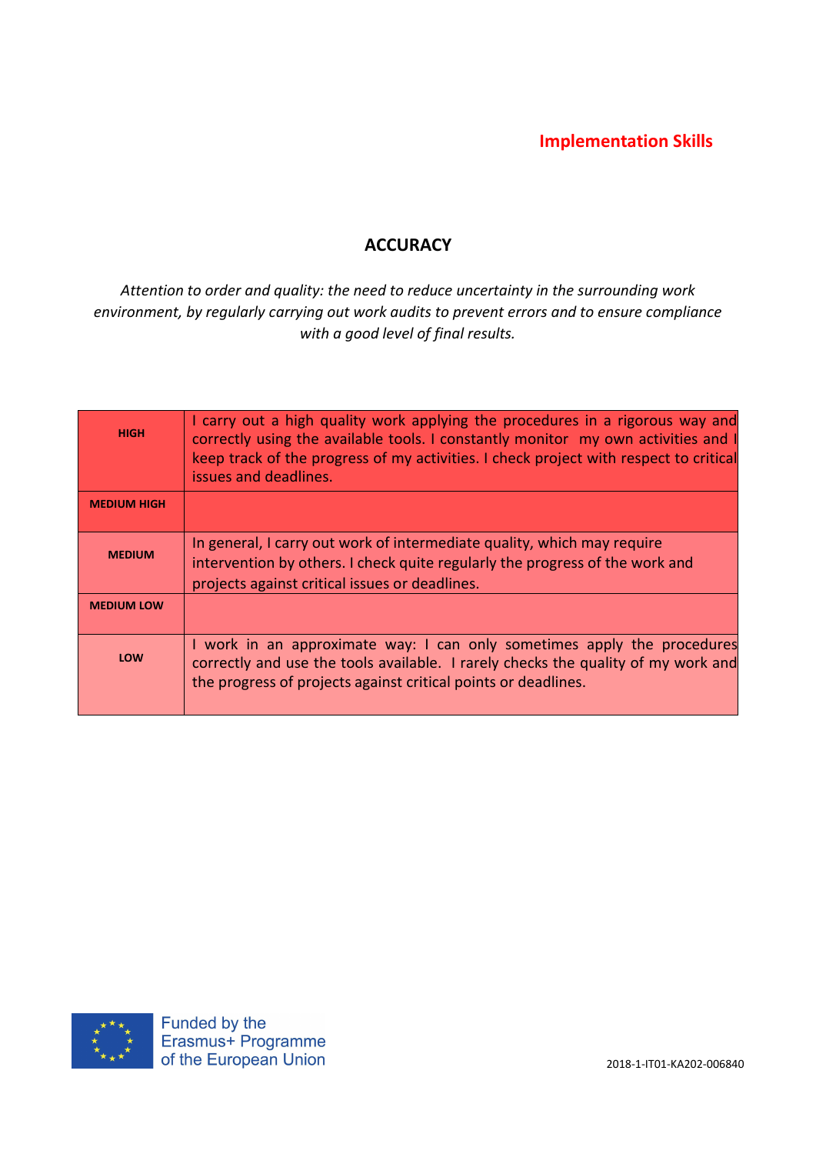## **ACCURACY**

### *Attention to order and quality: the need to reduce uncertainty in the surrounding work environment, by regularly carrying out work audits to prevent errors and to ensure compliance with a good level of final results.*

| <b>HIGH</b>        | I carry out a high quality work applying the procedures in a rigorous way and<br>correctly using the available tools. I constantly monitor my own activities and I<br>keep track of the progress of my activities. I check project with respect to critical<br>issues and deadlines. |
|--------------------|--------------------------------------------------------------------------------------------------------------------------------------------------------------------------------------------------------------------------------------------------------------------------------------|
| <b>MEDIUM HIGH</b> |                                                                                                                                                                                                                                                                                      |
| <b>MEDIUM</b>      | In general, I carry out work of intermediate quality, which may require<br>intervention by others. I check quite regularly the progress of the work and<br>projects against critical issues or deadlines.                                                                            |
| <b>MEDIUM LOW</b>  |                                                                                                                                                                                                                                                                                      |
| <b>LOW</b>         | I work in an approximate way: I can only sometimes apply the procedures<br>correctly and use the tools available. I rarely checks the quality of my work and<br>the progress of projects against critical points or deadlines.                                                       |

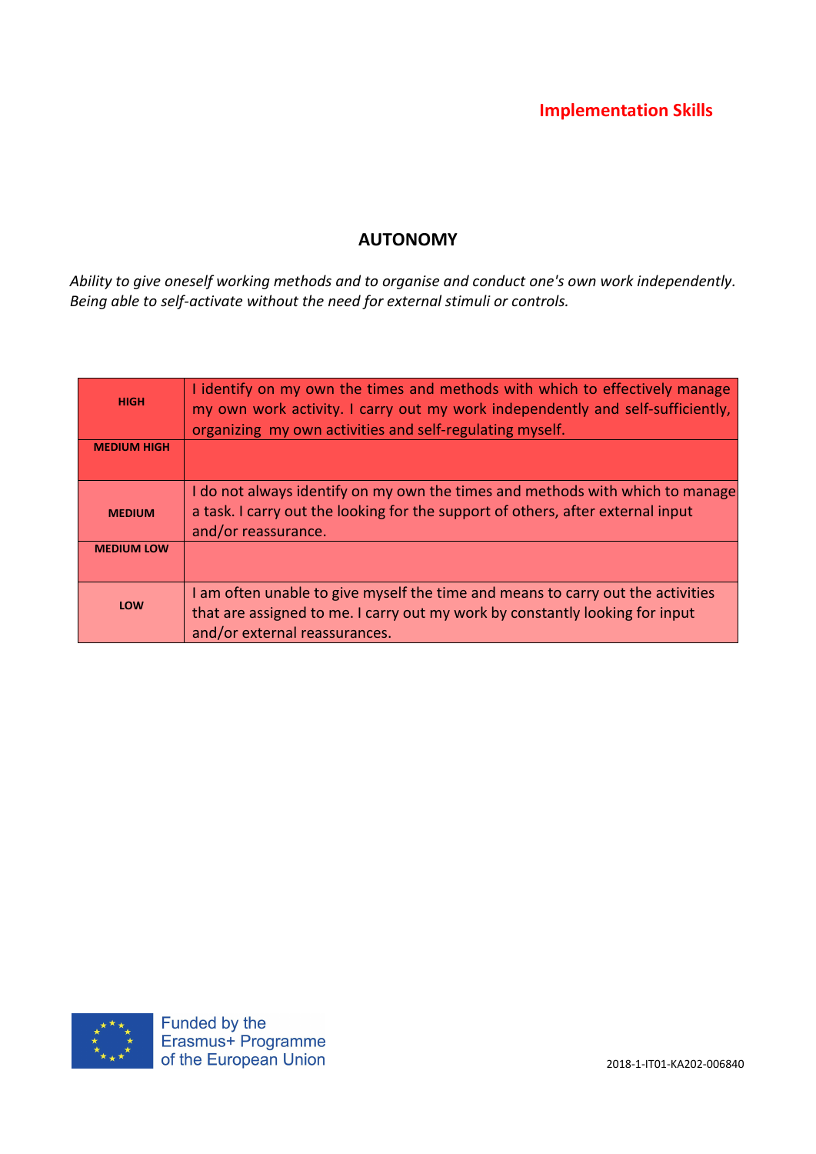## AUTONOMY

*Ability to give oneself working methods and to organise and conduct one's own work independently. Being able to self-activate without the need for external stimuli or controls.*

| <b>HIGH</b>        | I identify on my own the times and methods with which to effectively manage<br>my own work activity. I carry out my work independently and self-sufficiently,<br>organizing my own activities and self-regulating myself. |
|--------------------|---------------------------------------------------------------------------------------------------------------------------------------------------------------------------------------------------------------------------|
| <b>MEDIUM HIGH</b> |                                                                                                                                                                                                                           |
| <b>MEDIUM</b>      | I do not always identify on my own the times and methods with which to manage<br>a task. I carry out the looking for the support of others, after external input<br>and/or reassurance.                                   |
| <b>MEDIUM LOW</b>  |                                                                                                                                                                                                                           |
| LOW                | I am often unable to give myself the time and means to carry out the activities<br>that are assigned to me. I carry out my work by constantly looking for input<br>and/or external reassurances.                          |

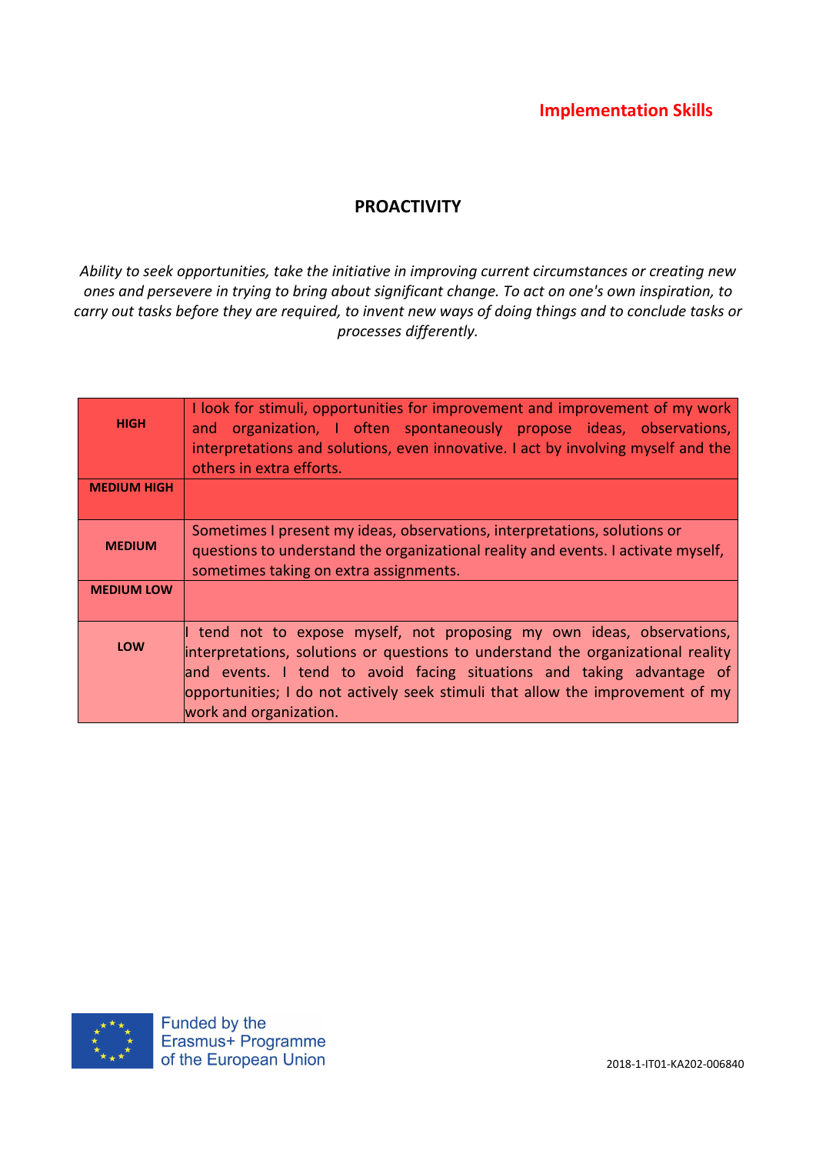## PROACTIVITY

*Ability to seek opportunities, take the initiative in improving current circumstances or creating new ones and persevere in trying to bring about significant change. To act on one's own inspiration, to carry out tasks before they are required, to invent new ways of doing things and to conclude tasks or processes differently.*

| <b>HIGH</b>        | I look for stimuli, opportunities for improvement and improvement of my work<br>and organization, I often spontaneously propose ideas, observations,<br>interpretations and solutions, even innovative. I act by involving myself and the<br>others in extra efforts.                                                                         |
|--------------------|-----------------------------------------------------------------------------------------------------------------------------------------------------------------------------------------------------------------------------------------------------------------------------------------------------------------------------------------------|
| <b>MEDIUM HIGH</b> |                                                                                                                                                                                                                                                                                                                                               |
| <b>MEDIUM</b>      | Sometimes I present my ideas, observations, interpretations, solutions or<br>questions to understand the organizational reality and events. I activate myself,<br>sometimes taking on extra assignments.                                                                                                                                      |
| <b>MEDIUM LOW</b>  |                                                                                                                                                                                                                                                                                                                                               |
| LOW                | tend not to expose myself, not proposing my own ideas, observations,<br>interpretations, solutions or questions to understand the organizational reality<br>and events. I tend to avoid facing situations and taking advantage of<br>opportunities; I do not actively seek stimuli that allow the improvement of my<br>work and organization. |

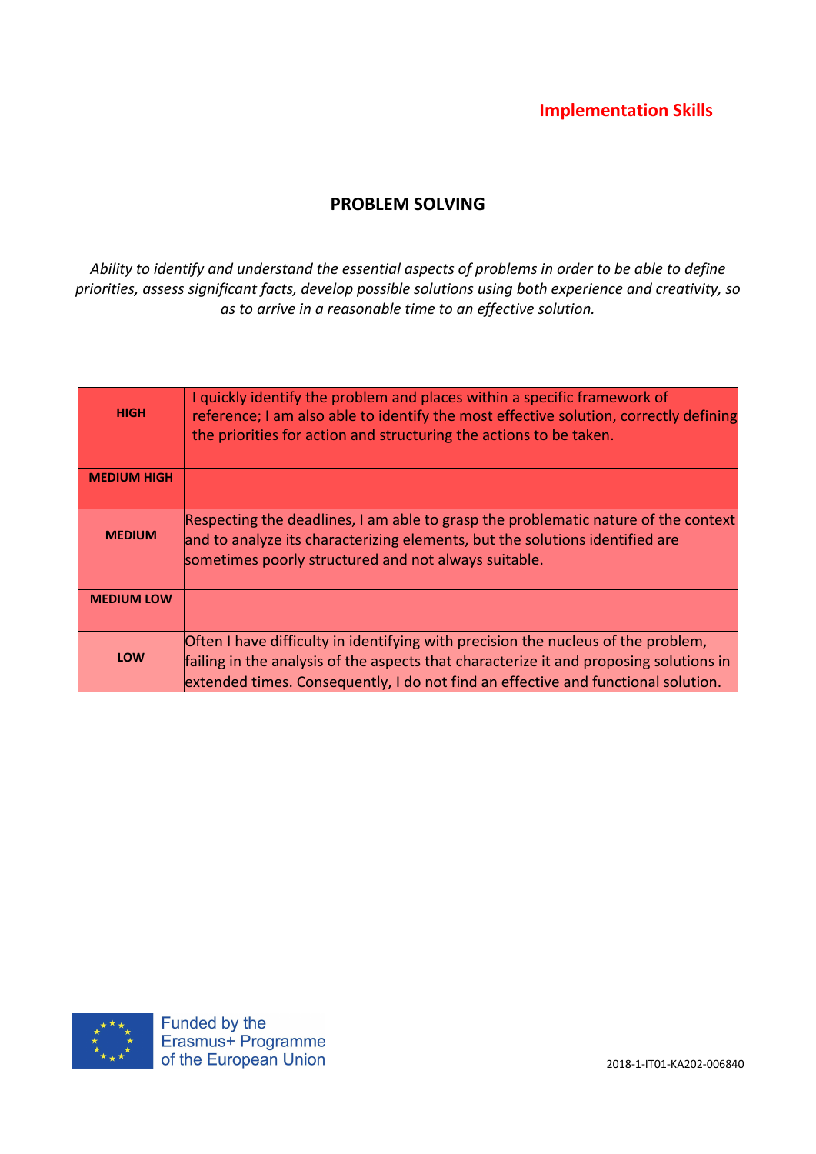### PROBLEM SOLVING

*Ability to identify and understand the essential aspects of problems in order to be able to define priorities, assess significant facts, develop possible solutions using both experience and creativity, so as to arrive in a reasonable time to an effective solution.*

| <b>HIGH</b>        | I quickly identify the problem and places within a specific framework of<br>reference; I am also able to identify the most effective solution, correctly defining<br>the priorities for action and structuring the actions to be taken.                          |
|--------------------|------------------------------------------------------------------------------------------------------------------------------------------------------------------------------------------------------------------------------------------------------------------|
| <b>MEDIUM HIGH</b> |                                                                                                                                                                                                                                                                  |
| <b>MEDIUM</b>      | Respecting the deadlines, I am able to grasp the problematic nature of the context<br>and to analyze its characterizing elements, but the solutions identified are<br>sometimes poorly structured and not always suitable.                                       |
| <b>MEDIUM LOW</b>  |                                                                                                                                                                                                                                                                  |
| <b>LOW</b>         | Often I have difficulty in identifying with precision the nucleus of the problem,<br>failing in the analysis of the aspects that characterize it and proposing solutions in<br>extended times. Consequently, I do not find an effective and functional solution. |

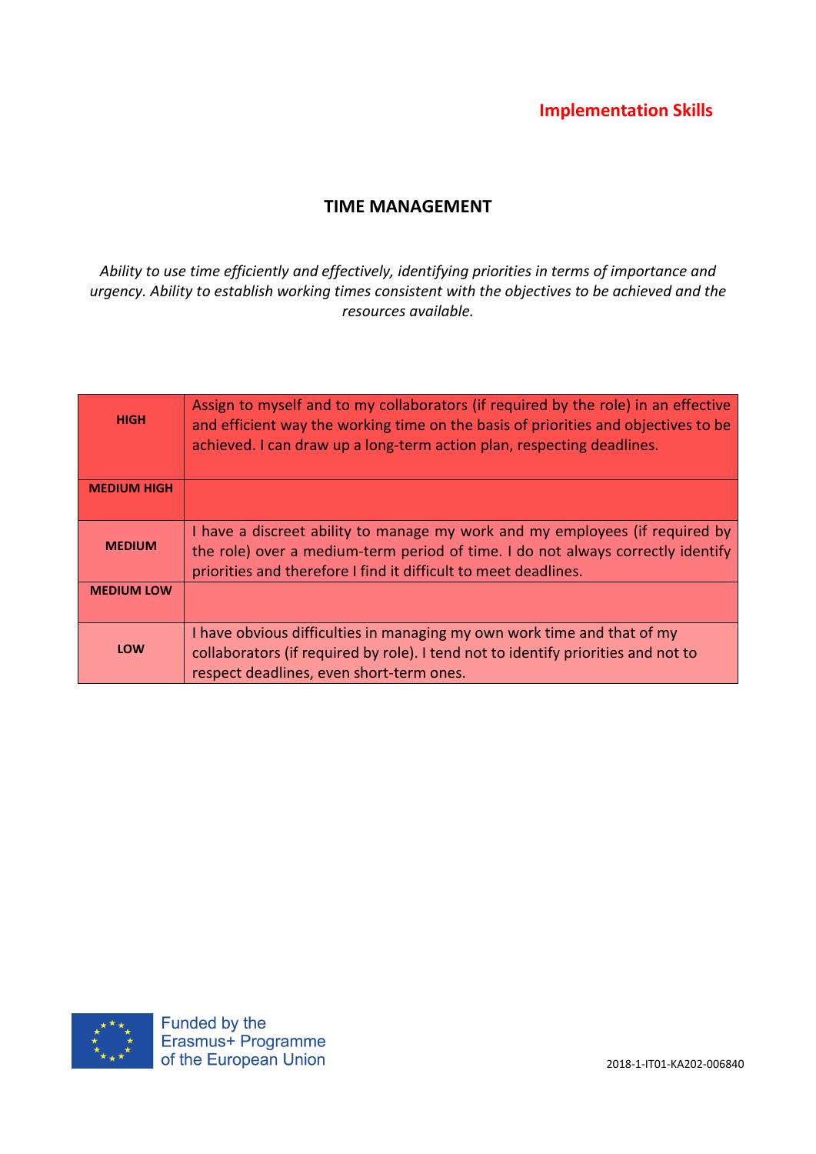## TIME MANAGEMENT

*Ability to use time efficiently and effectively, identifying priorities in terms of importance and urgency. Ability to establish working times consistent with the objectives to be achieved and the resources available.*

| <b>HIGH</b>        | Assign to myself and to my collaborators (if required by the role) in an effective<br>and efficient way the working time on the basis of priorities and objectives to be<br>achieved. I can draw up a long-term action plan, respecting deadlines. |
|--------------------|----------------------------------------------------------------------------------------------------------------------------------------------------------------------------------------------------------------------------------------------------|
| <b>MEDIUM HIGH</b> |                                                                                                                                                                                                                                                    |
| <b>MEDIUM</b>      | I have a discreet ability to manage my work and my employees (if required by<br>the role) over a medium-term period of time. I do not always correctly identify<br>priorities and therefore I find it difficult to meet deadlines.                 |
| <b>MEDIUM LOW</b>  |                                                                                                                                                                                                                                                    |
| LOW                | I have obvious difficulties in managing my own work time and that of my<br>collaborators (if required by role). I tend not to identify priorities and not to<br>respect deadlines, even short-term ones.                                           |

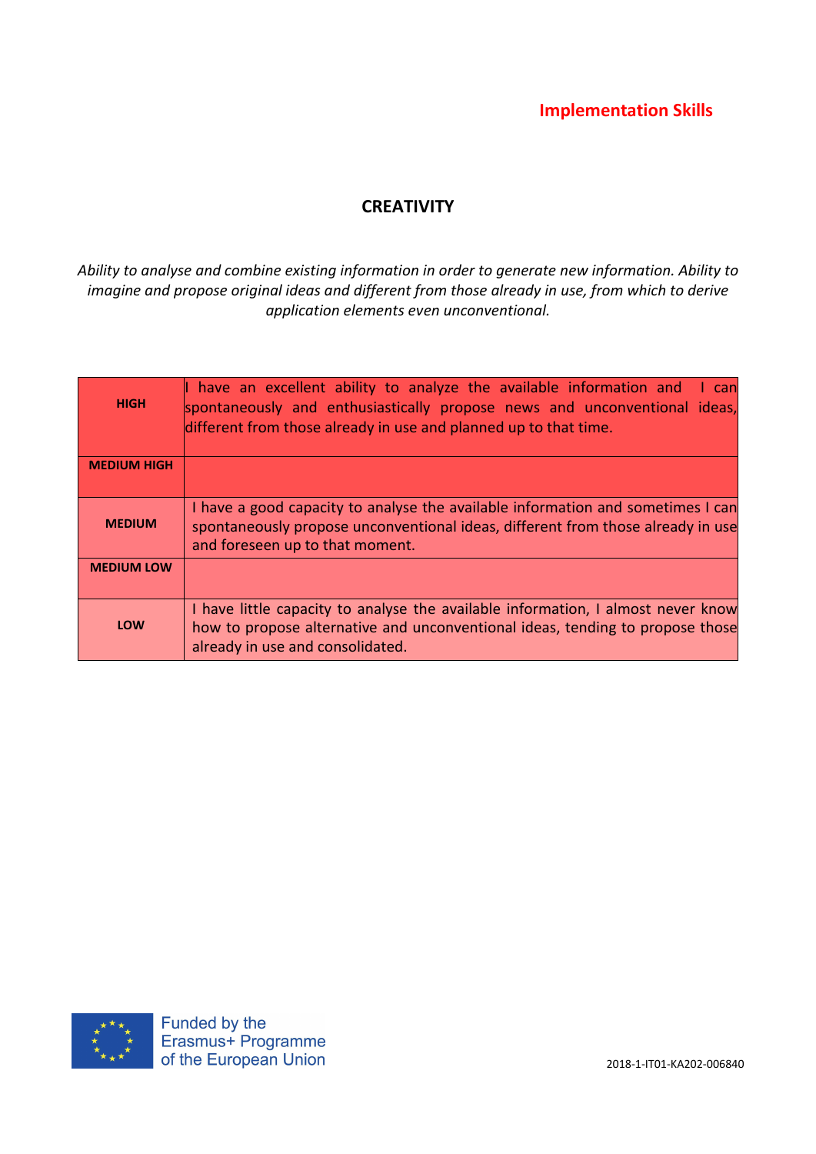## **CREATIVITY**

*Ability to analyse and combine existing information in order to generate new information. Ability to imagine and propose original ideas and different from those already in use, from which to derive application elements even unconventional.*

| <b>HIGH</b>        | $\parallel$ have an excellent ability to analyze the available information and<br>I can<br>spontaneously and enthusiastically propose news and unconventional ideas,<br>different from those already in use and planned up to that time. |
|--------------------|------------------------------------------------------------------------------------------------------------------------------------------------------------------------------------------------------------------------------------------|
| <b>MEDIUM HIGH</b> |                                                                                                                                                                                                                                          |
| <b>MEDIUM</b>      | I have a good capacity to analyse the available information and sometimes I can<br>spontaneously propose unconventional ideas, different from those already in use<br>and foreseen up to that moment.                                    |
| <b>MEDIUM LOW</b>  |                                                                                                                                                                                                                                          |
| LOW                | I have little capacity to analyse the available information, I almost never know<br>how to propose alternative and unconventional ideas, tending to propose those<br>already in use and consolidated.                                    |

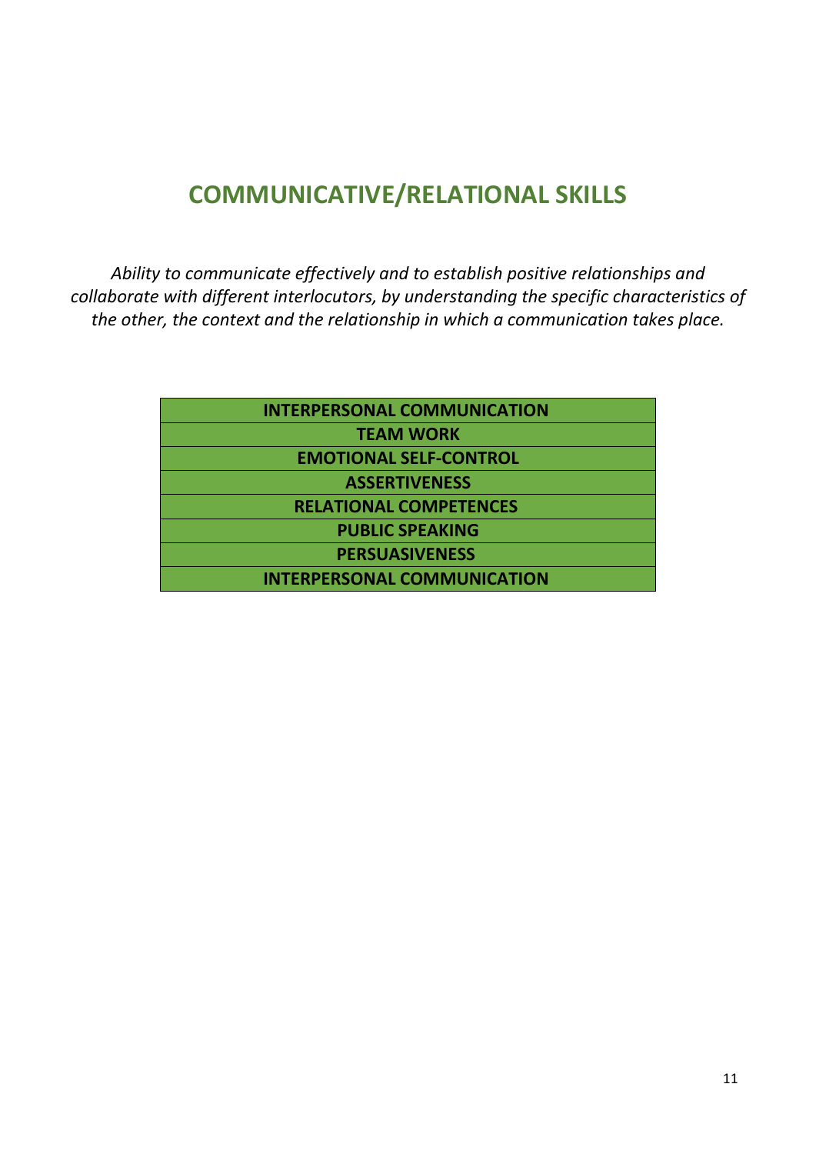# COMMUNICATIVE/RELATIONAL SKILLS

*Ability to communicate effectively and to establish positive relationships and collaborate with different interlocutors, by understanding the specific characteristics of the other, the context and the relationship in which a communication takes place.*

| <b>INTERPERSONAL COMMUNICATION</b> |  |
|------------------------------------|--|
| <b>TEAM WORK</b>                   |  |
| <b>EMOTIONAL SELF-CONTROL</b>      |  |
| <b>ASSERTIVENESS</b>               |  |
| <b>RELATIONAL COMPETENCES</b>      |  |
| <b>PUBLIC SPEAKING</b>             |  |
| <b>PERSUASIVENESS</b>              |  |
| <b>INTERPERSONAL COMMUNICATION</b> |  |
|                                    |  |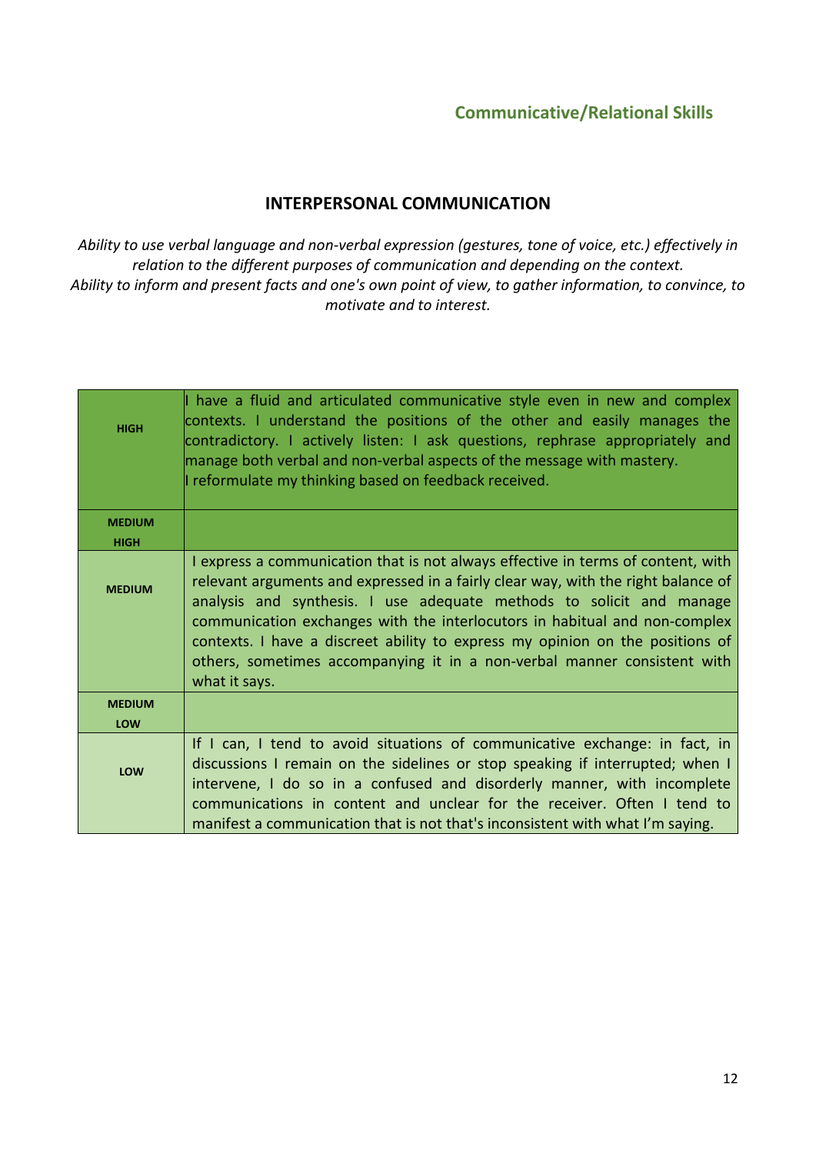## INTERPERSONAL COMMUNICATION

*Ability to use verbal language and non-verbal expression (gestures, tone of voice, etc.) effectively in relation to the different purposes of communication and depending on the context. Ability to inform and present facts and one's own point of view, to gather information, to convince, to motivate and to interest.*

| <b>HIGH</b>   | $\parallel$ have a fluid and articulated communicative style even in new and complex<br>contexts. I understand the positions of the other and easily manages the<br>contradictory. I actively listen: I ask questions, rephrase appropriately and<br>manage both verbal and non-verbal aspects of the message with mastery.<br>I reformulate my thinking based on feedback received.                                                                                                                      |
|---------------|-----------------------------------------------------------------------------------------------------------------------------------------------------------------------------------------------------------------------------------------------------------------------------------------------------------------------------------------------------------------------------------------------------------------------------------------------------------------------------------------------------------|
| <b>MEDIUM</b> |                                                                                                                                                                                                                                                                                                                                                                                                                                                                                                           |
| <b>HIGH</b>   |                                                                                                                                                                                                                                                                                                                                                                                                                                                                                                           |
| <b>MEDIUM</b> | I express a communication that is not always effective in terms of content, with<br>relevant arguments and expressed in a fairly clear way, with the right balance of<br>analysis and synthesis. I use adequate methods to solicit and manage<br>communication exchanges with the interlocutors in habitual and non-complex<br>contexts. I have a discreet ability to express my opinion on the positions of<br>others, sometimes accompanying it in a non-verbal manner consistent with<br>what it says. |
| <b>MEDIUM</b> |                                                                                                                                                                                                                                                                                                                                                                                                                                                                                                           |
| LOW           |                                                                                                                                                                                                                                                                                                                                                                                                                                                                                                           |
| LOW           | If I can, I tend to avoid situations of communicative exchange: in fact, in<br>discussions I remain on the sidelines or stop speaking if interrupted; when I<br>intervene, I do so in a confused and disorderly manner, with incomplete<br>communications in content and unclear for the receiver. Often I tend to<br>manifest a communication that is not that's inconsistent with what I'm saying.                                                                                                      |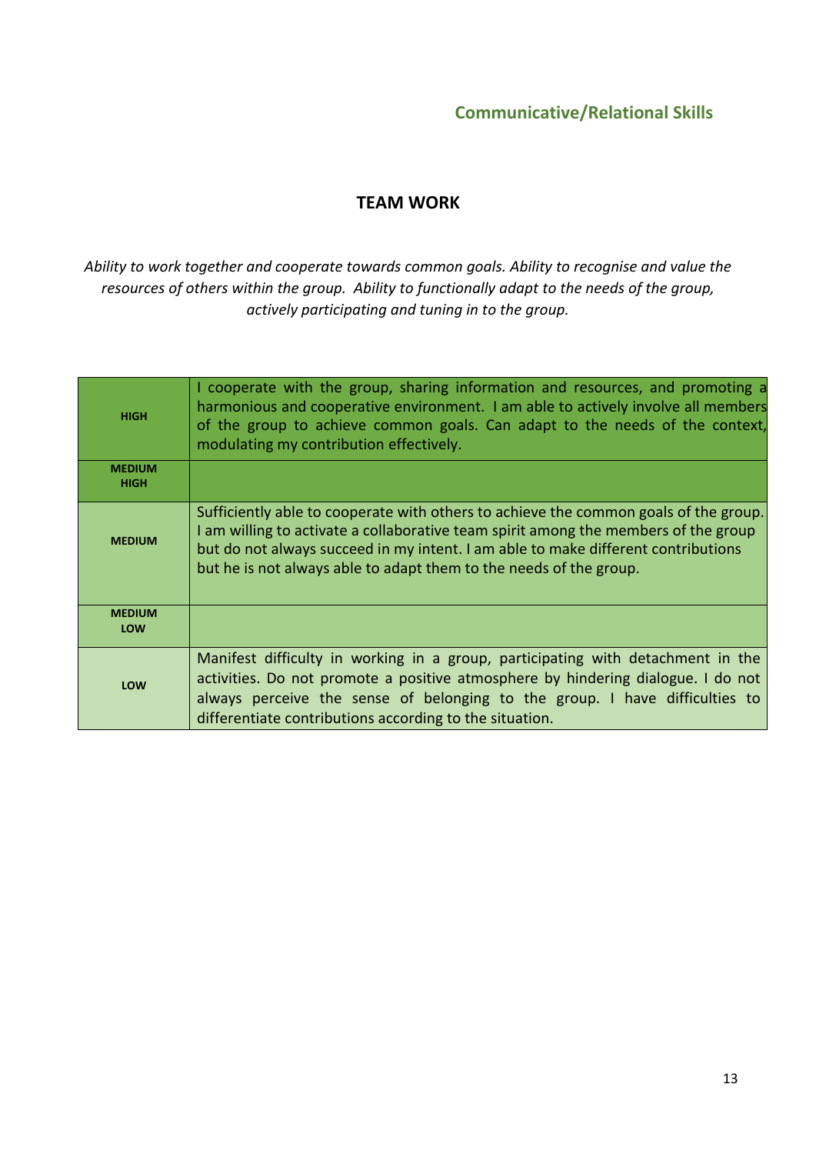### TEAM WORK

*Ability to work together and cooperate towards common goals. Ability to recognise and value the resources of others within the group. Ability to functionally adapt to the needs of the group, actively participating and tuning in to the group.*

| <b>HIGH</b>                  | I cooperate with the group, sharing information and resources, and promoting a<br>harmonious and cooperative environment. I am able to actively involve all members<br>of the group to achieve common goals. Can adapt to the needs of the context,<br>modulating my contribution effectively.                                         |
|------------------------------|----------------------------------------------------------------------------------------------------------------------------------------------------------------------------------------------------------------------------------------------------------------------------------------------------------------------------------------|
| <b>MEDIUM</b><br><b>HIGH</b> |                                                                                                                                                                                                                                                                                                                                        |
| <b>MEDIUM</b>                | Sufficiently able to cooperate with others to achieve the common goals of the group.<br>I am willing to activate a collaborative team spirit among the members of the group<br>but do not always succeed in my intent. I am able to make different contributions<br>but he is not always able to adapt them to the needs of the group. |
| <b>MEDIUM</b><br>LOW         |                                                                                                                                                                                                                                                                                                                                        |
| LOW                          | Manifest difficulty in working in a group, participating with detachment in the<br>activities. Do not promote a positive atmosphere by hindering dialogue. I do not<br>always perceive the sense of belonging to the group. I have difficulties to<br>differentiate contributions according to the situation.                          |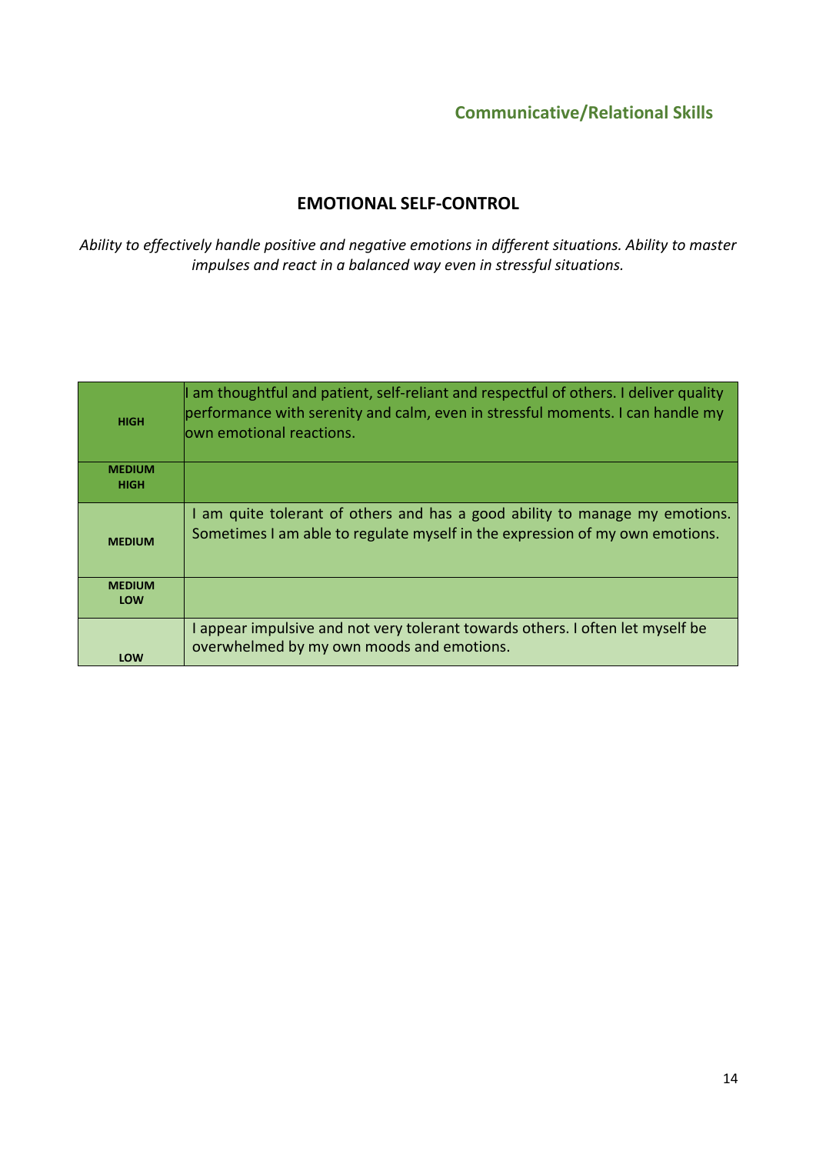### EMOTIONAL SELF-CONTROL

*Ability to effectively handle positive and negative emotions in different situations. Ability to master impulses and react in a balanced way even in stressful situations.*

| <b>HIGH</b>                  | am thoughtful and patient, self-reliant and respectful of others. I deliver quality<br>performance with serenity and calm, even in stressful moments. I can handle my<br>lown emotional reactions. |
|------------------------------|----------------------------------------------------------------------------------------------------------------------------------------------------------------------------------------------------|
| <b>MEDIUM</b><br><b>HIGH</b> |                                                                                                                                                                                                    |
| <b>MEDIUM</b>                | I am quite tolerant of others and has a good ability to manage my emotions.<br>Sometimes I am able to regulate myself in the expression of my own emotions.                                        |
| <b>MEDIUM</b><br><b>LOW</b>  |                                                                                                                                                                                                    |
| LOW                          | I appear impulsive and not very tolerant towards others. I often let myself be<br>overwhelmed by my own moods and emotions.                                                                        |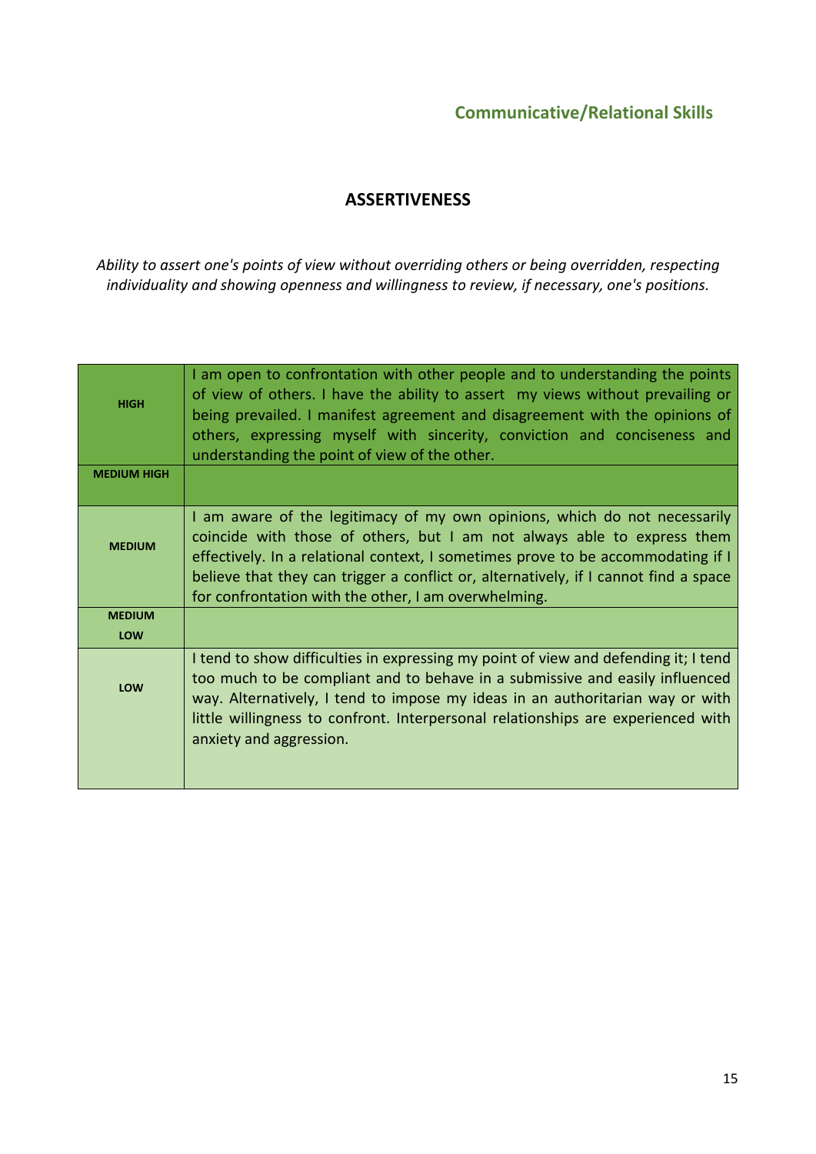## **ASSERTIVENESS**

*Ability to assert one's points of view without overriding others or being overridden, respecting individuality and showing openness and willingness to review, if necessary, one's positions.*

| <b>HIGH</b>        | I am open to confrontation with other people and to understanding the points<br>of view of others. I have the ability to assert my views without prevailing or<br>being prevailed. I manifest agreement and disagreement with the opinions of<br>others, expressing myself with sincerity, conviction and conciseness and<br>understanding the point of view of the other.               |
|--------------------|------------------------------------------------------------------------------------------------------------------------------------------------------------------------------------------------------------------------------------------------------------------------------------------------------------------------------------------------------------------------------------------|
| <b>MEDIUM HIGH</b> |                                                                                                                                                                                                                                                                                                                                                                                          |
| <b>MEDIUM</b>      | I am aware of the legitimacy of my own opinions, which do not necessarily<br>coincide with those of others, but I am not always able to express them<br>effectively. In a relational context, I sometimes prove to be accommodating if I<br>believe that they can trigger a conflict or, alternatively, if I cannot find a space<br>for confrontation with the other, I am overwhelming. |
| <b>MEDIUM</b>      |                                                                                                                                                                                                                                                                                                                                                                                          |
| LOW                |                                                                                                                                                                                                                                                                                                                                                                                          |
| LOW                | I tend to show difficulties in expressing my point of view and defending it; I tend<br>too much to be compliant and to behave in a submissive and easily influenced<br>way. Alternatively, I tend to impose my ideas in an authoritarian way or with<br>little willingness to confront. Interpersonal relationships are experienced with<br>anxiety and aggression.                      |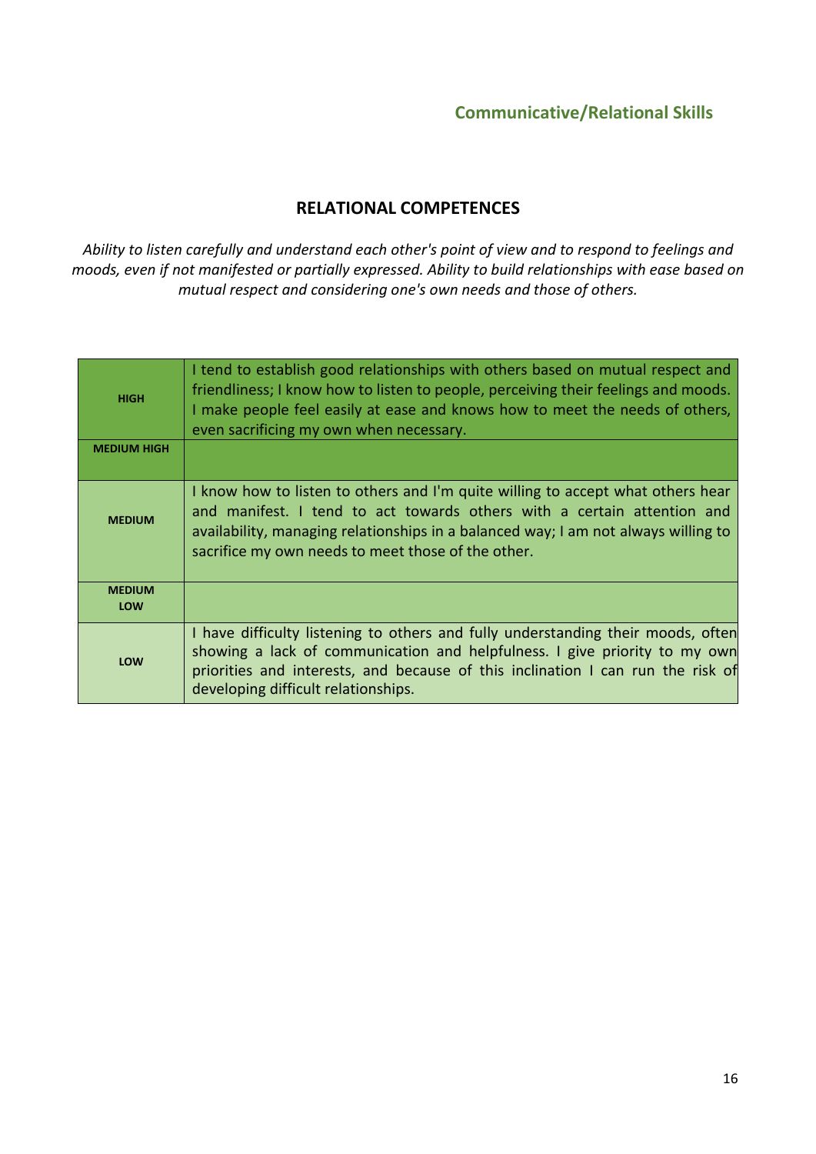## RELATIONAL COMPETENCES

*Ability to listen carefully and understand each other's point of view and to respond to feelings and moods, even if not manifested or partially expressed. Ability to build relationships with ease based on mutual respect and considering one's own needs and those of others.*

| <b>HIGH</b>          | I tend to establish good relationships with others based on mutual respect and<br>friendliness; I know how to listen to people, perceiving their feelings and moods.<br>I make people feel easily at ease and knows how to meet the needs of others,<br>even sacrificing my own when necessary.        |
|----------------------|--------------------------------------------------------------------------------------------------------------------------------------------------------------------------------------------------------------------------------------------------------------------------------------------------------|
| <b>MEDIUM HIGH</b>   |                                                                                                                                                                                                                                                                                                        |
| <b>MEDIUM</b>        | I know how to listen to others and I'm quite willing to accept what others hear<br>and manifest. I tend to act towards others with a certain attention and<br>availability, managing relationships in a balanced way; I am not always willing to<br>sacrifice my own needs to meet those of the other. |
| <b>MEDIUM</b><br>LOW |                                                                                                                                                                                                                                                                                                        |
| LOW                  | I have difficulty listening to others and fully understanding their moods, often<br>showing a lack of communication and helpfulness. I give priority to my own<br>priorities and interests, and because of this inclination I can run the risk of<br>developing difficult relationships.               |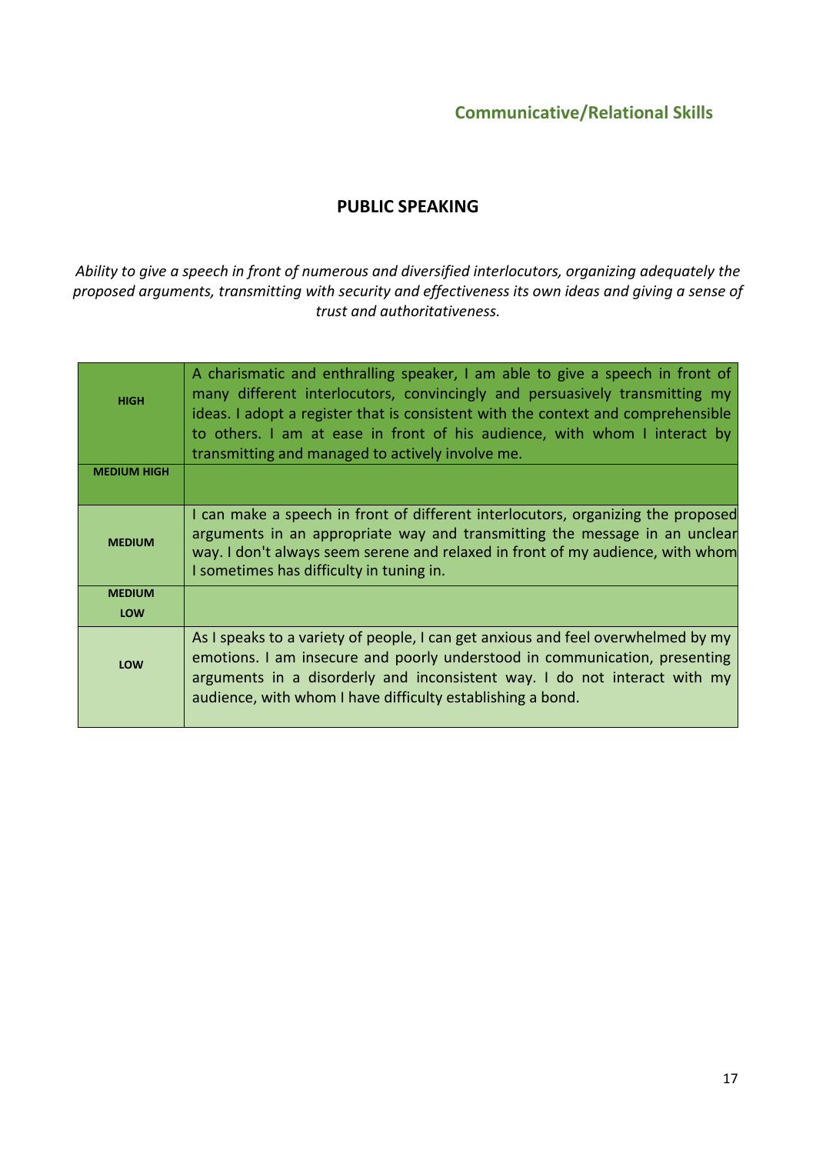## PUBLIC SPEAKING

*Ability to give a speech in front of numerous and diversified interlocutors, organizing adequately the proposed arguments, transmitting with security and effectiveness its own ideas and giving a sense of trust and authoritativeness.*

| <b>HIGH</b>          | A charismatic and enthralling speaker, I am able to give a speech in front of<br>many different interlocutors, convincingly and persuasively transmitting my<br>ideas. I adopt a register that is consistent with the context and comprehensible<br>to others. I am at ease in front of his audience, with whom I interact by<br>transmitting and managed to actively involve me. |
|----------------------|-----------------------------------------------------------------------------------------------------------------------------------------------------------------------------------------------------------------------------------------------------------------------------------------------------------------------------------------------------------------------------------|
| <b>MEDIUM HIGH</b>   |                                                                                                                                                                                                                                                                                                                                                                                   |
| <b>MEDIUM</b>        | I can make a speech in front of different interlocutors, organizing the proposed<br>arguments in an appropriate way and transmitting the message in an unclear<br>way. I don't always seem serene and relaxed in front of my audience, with whom<br>I sometimes has difficulty in tuning in.                                                                                      |
| <b>MEDIUM</b><br>LOW |                                                                                                                                                                                                                                                                                                                                                                                   |
| LOW                  | As I speaks to a variety of people, I can get anxious and feel overwhelmed by my<br>emotions. I am insecure and poorly understood in communication, presenting<br>arguments in a disorderly and inconsistent way. I do not interact with my<br>audience, with whom I have difficulty establishing a bond.                                                                         |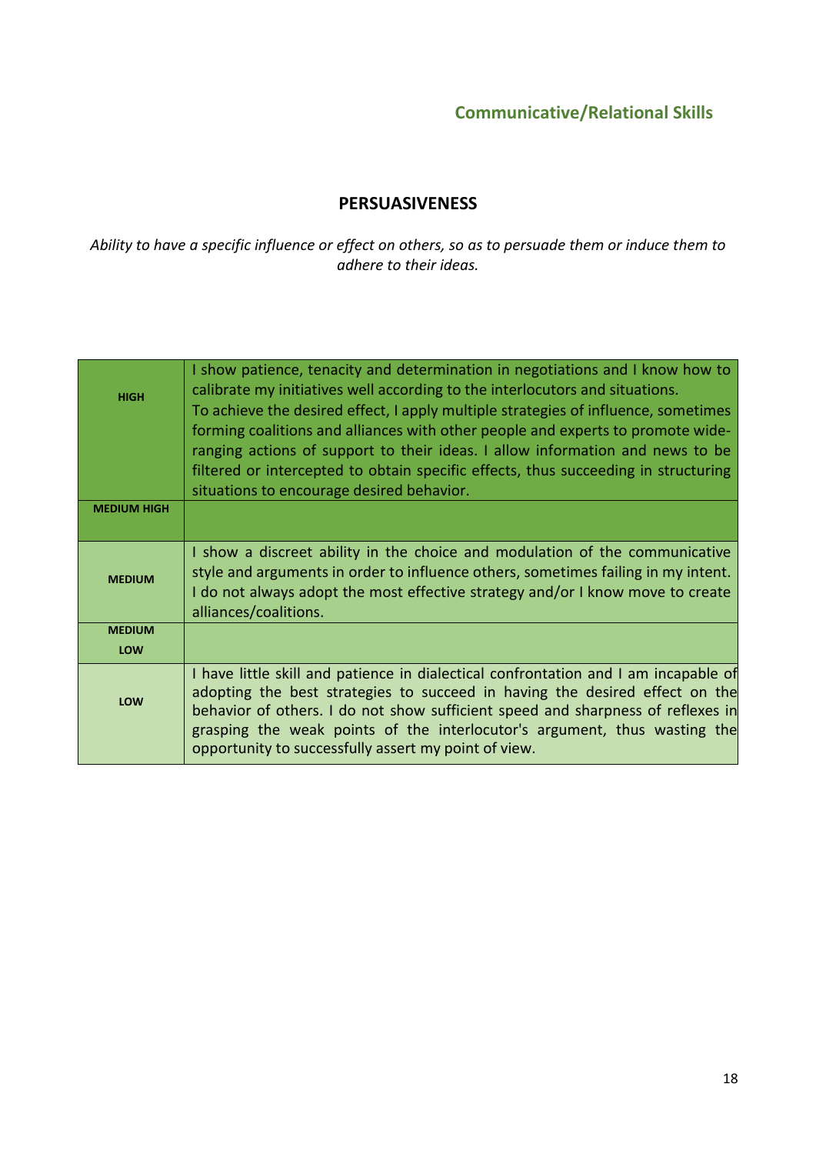## PERSUASIVENESS

*Ability to have a specific influence or effect on others, so as to persuade them or induce them to adhere to their ideas.*

| <b>HIGH</b>        | I show patience, tenacity and determination in negotiations and I know how to<br>calibrate my initiatives well according to the interlocutors and situations.<br>To achieve the desired effect, I apply multiple strategies of influence, sometimes<br>forming coalitions and alliances with other people and experts to promote wide-<br>ranging actions of support to their ideas. I allow information and news to be<br>filtered or intercepted to obtain specific effects, thus succeeding in structuring<br>situations to encourage desired behavior. |
|--------------------|------------------------------------------------------------------------------------------------------------------------------------------------------------------------------------------------------------------------------------------------------------------------------------------------------------------------------------------------------------------------------------------------------------------------------------------------------------------------------------------------------------------------------------------------------------|
| <b>MEDIUM HIGH</b> |                                                                                                                                                                                                                                                                                                                                                                                                                                                                                                                                                            |
| <b>MEDIUM</b>      | I show a discreet ability in the choice and modulation of the communicative<br>style and arguments in order to influence others, sometimes failing in my intent.<br>I do not always adopt the most effective strategy and/or I know move to create<br>alliances/coalitions.                                                                                                                                                                                                                                                                                |
| <b>MEDIUM</b>      |                                                                                                                                                                                                                                                                                                                                                                                                                                                                                                                                                            |
| LOW                |                                                                                                                                                                                                                                                                                                                                                                                                                                                                                                                                                            |
| LOW                | I have little skill and patience in dialectical confrontation and I am incapable of<br>adopting the best strategies to succeed in having the desired effect on the<br>behavior of others. I do not show sufficient speed and sharpness of reflexes in<br>grasping the weak points of the interlocutor's argument, thus wasting the<br>opportunity to successfully assert my point of view.                                                                                                                                                                 |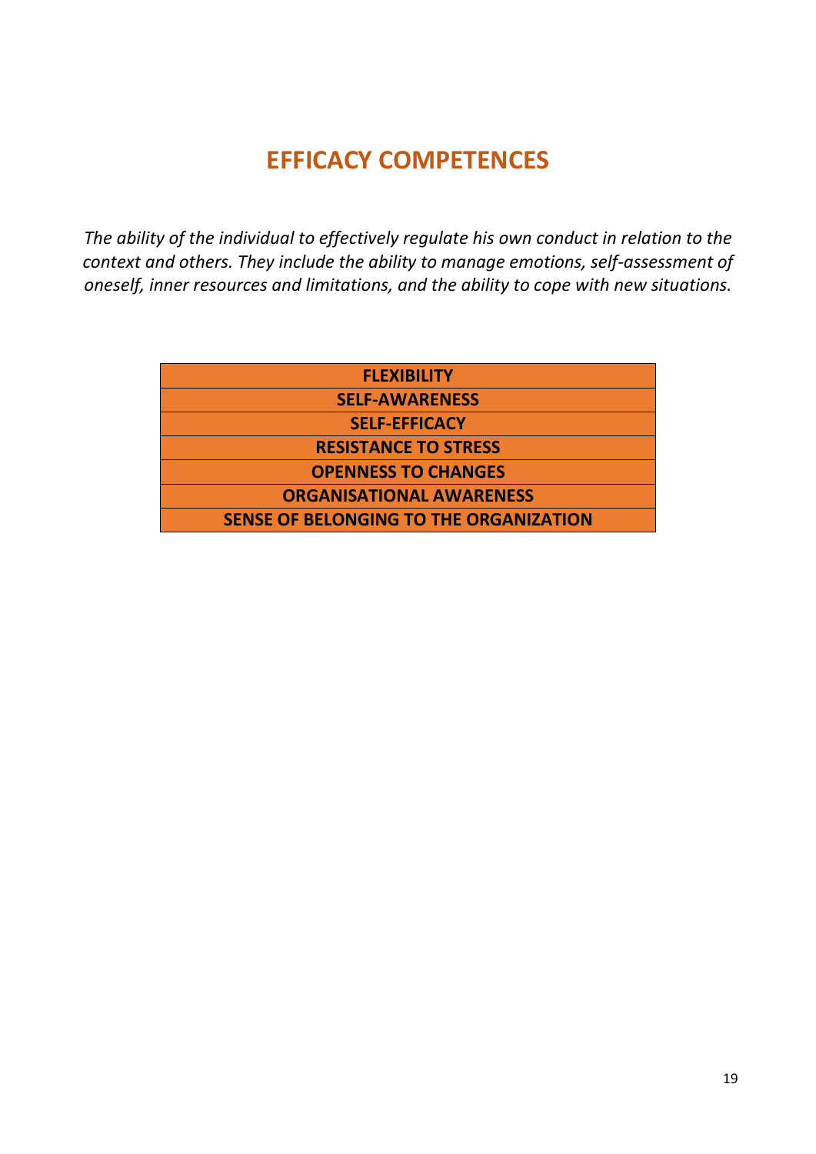# EFFICACY COMPETENCES

*The ability of the individual to effectively regulate his own conduct in relation to the context and others. They include the ability to manage emotions, self-assessment of oneself, inner resources and limitations, and the ability to cope with new situations.*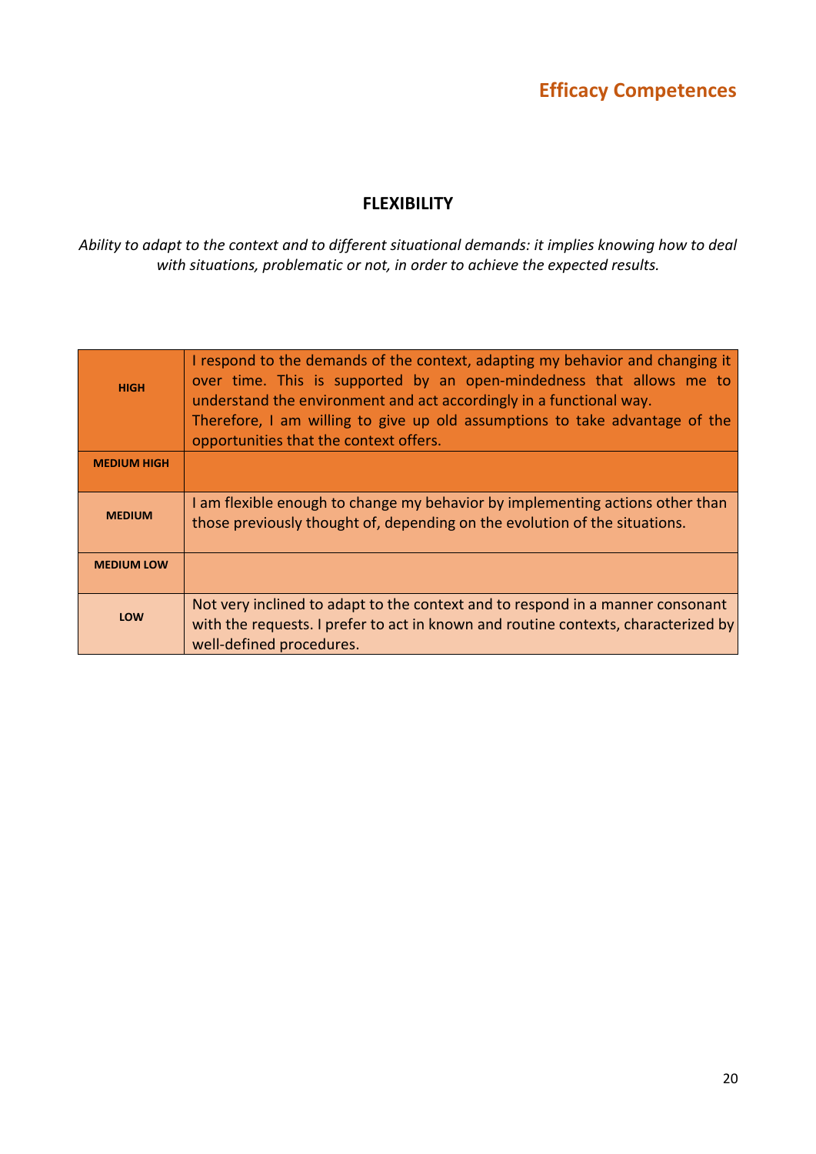### FLEXIBILITY

*Ability to adapt to the context and to different situational demands: it implies knowing how to deal with situations, problematic or not, in order to achieve the expected results.*

| <b>HIGH</b>        | I respond to the demands of the context, adapting my behavior and changing it<br>over time. This is supported by an open-mindedness that allows me to<br>understand the environment and act accordingly in a functional way.<br>Therefore, I am willing to give up old assumptions to take advantage of the<br>opportunities that the context offers. |
|--------------------|-------------------------------------------------------------------------------------------------------------------------------------------------------------------------------------------------------------------------------------------------------------------------------------------------------------------------------------------------------|
| <b>MEDIUM HIGH</b> |                                                                                                                                                                                                                                                                                                                                                       |
| <b>MEDIUM</b>      | I am flexible enough to change my behavior by implementing actions other than<br>those previously thought of, depending on the evolution of the situations.                                                                                                                                                                                           |
| <b>MEDIUM LOW</b>  |                                                                                                                                                                                                                                                                                                                                                       |
| LOW                | Not very inclined to adapt to the context and to respond in a manner consonant<br>with the requests. I prefer to act in known and routine contexts, characterized by<br>well-defined procedures.                                                                                                                                                      |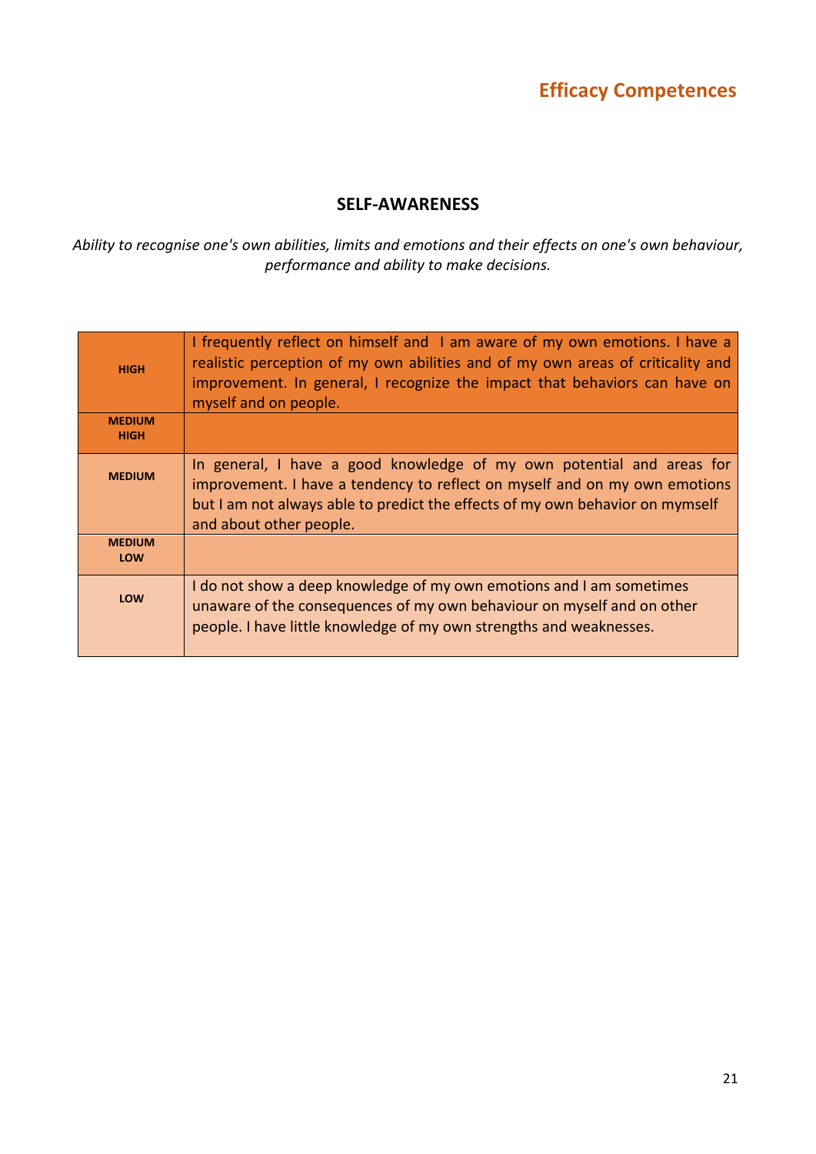### SELF-AWARENESS

*Ability to recognise one's own abilities, limits and emotions and their effects on one's own behaviour, performance and ability to make decisions.*

| <b>HIGH</b>                  | I frequently reflect on himself and I am aware of my own emotions. I have a<br>realistic perception of my own abilities and of my own areas of criticality and<br>improvement. In general, I recognize the impact that behaviors can have on<br>myself and on people. |
|------------------------------|-----------------------------------------------------------------------------------------------------------------------------------------------------------------------------------------------------------------------------------------------------------------------|
| <b>MEDIUM</b><br><b>HIGH</b> |                                                                                                                                                                                                                                                                       |
| <b>MFDIUM</b>                | In general, I have a good knowledge of my own potential and areas for<br>improvement. I have a tendency to reflect on myself and on my own emotions<br>but I am not always able to predict the effects of my own behavior on mymself<br>and about other people.       |
| <b>MEDIUM</b><br>LOW         |                                                                                                                                                                                                                                                                       |
| <b>LOW</b>                   | I do not show a deep knowledge of my own emotions and I am sometimes<br>unaware of the consequences of my own behaviour on myself and on other<br>people. I have little knowledge of my own strengths and weaknesses.                                                 |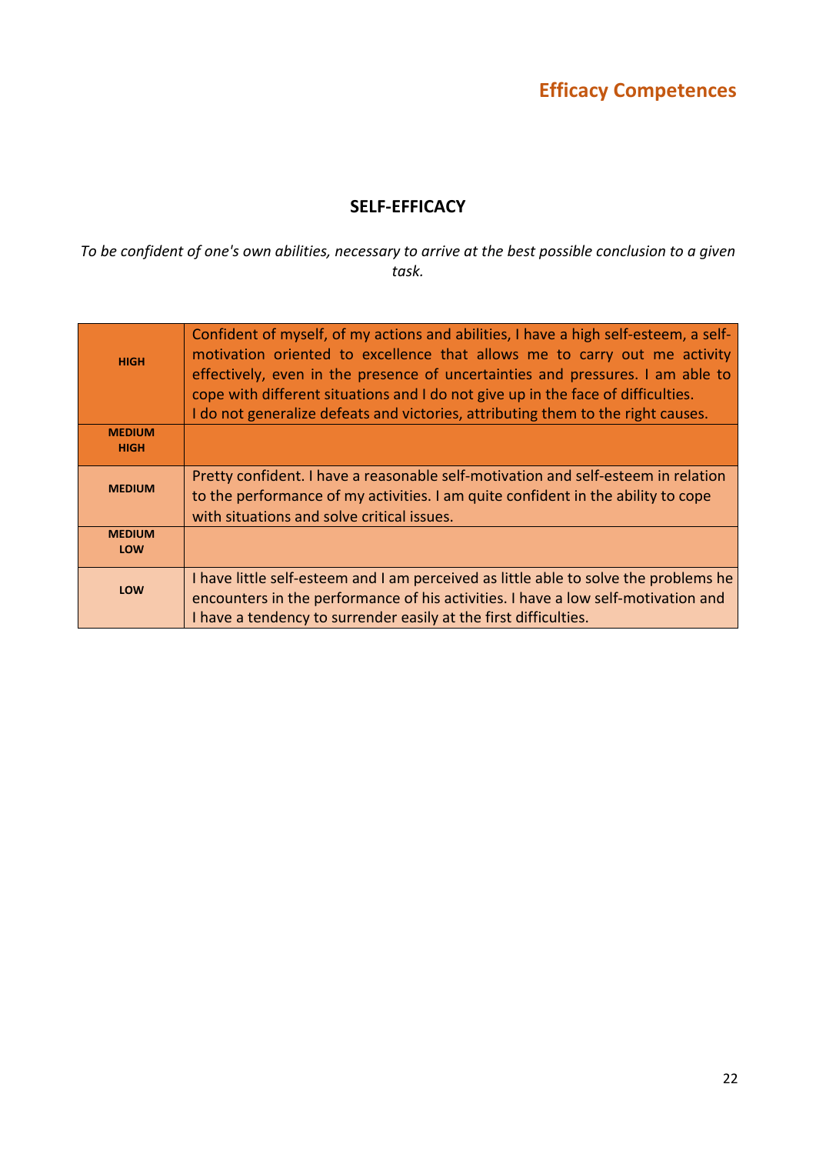## SELF-EFFICACY

*To be confident of one's own abilities, necessary to arrive at the best possible conclusion to a given task.*

| <b>HIGH</b>                  | Confident of myself, of my actions and abilities, I have a high self-esteem, a self-<br>motivation oriented to excellence that allows me to carry out me activity<br>effectively, even in the presence of uncertainties and pressures. I am able to<br>cope with different situations and I do not give up in the face of difficulties.<br>I do not generalize defeats and victories, attributing them to the right causes. |
|------------------------------|-----------------------------------------------------------------------------------------------------------------------------------------------------------------------------------------------------------------------------------------------------------------------------------------------------------------------------------------------------------------------------------------------------------------------------|
| <b>MEDIUM</b><br><b>HIGH</b> |                                                                                                                                                                                                                                                                                                                                                                                                                             |
| <b>MEDIUM</b>                | Pretty confident. I have a reasonable self-motivation and self-esteem in relation<br>to the performance of my activities. I am quite confident in the ability to cope<br>with situations and solve critical issues.                                                                                                                                                                                                         |
| <b>MEDIUM</b><br><b>LOW</b>  |                                                                                                                                                                                                                                                                                                                                                                                                                             |
| LOW                          | I have little self-esteem and I am perceived as little able to solve the problems he<br>encounters in the performance of his activities. I have a low self-motivation and<br>I have a tendency to surrender easily at the first difficulties.                                                                                                                                                                               |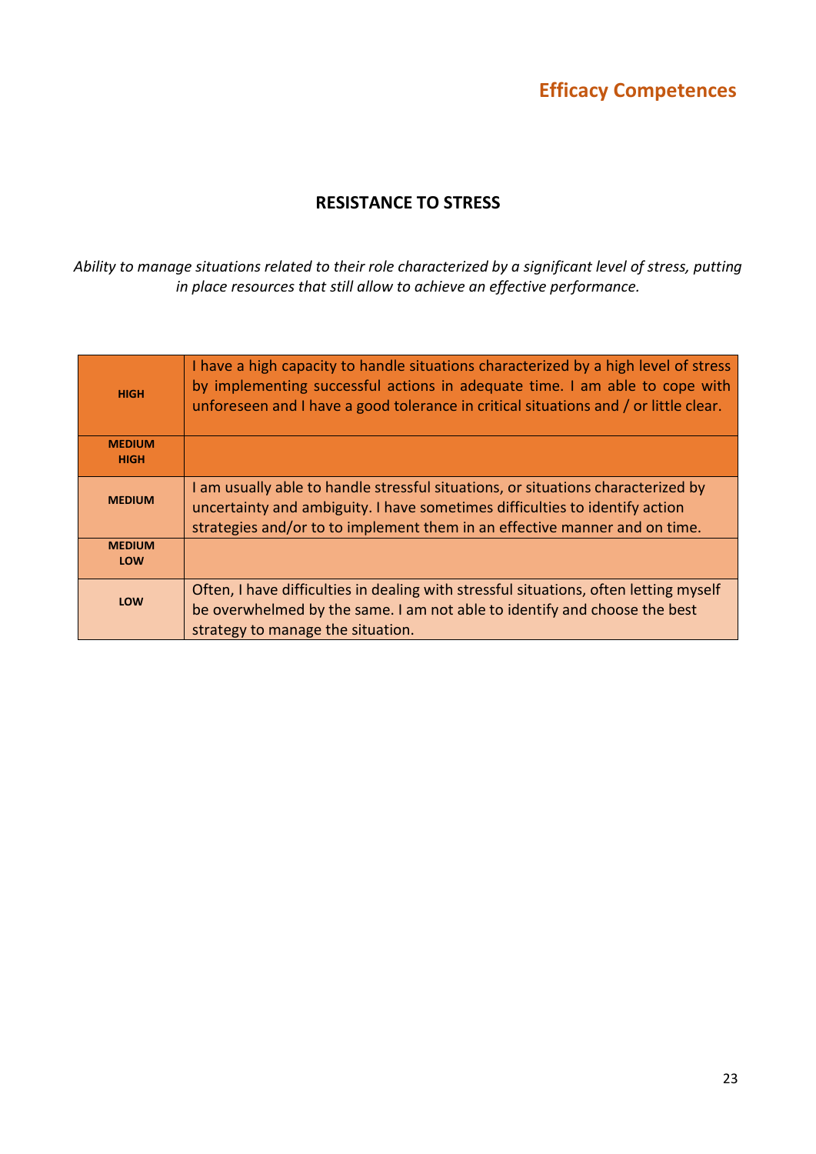### RESISTANCE TO STRESS

*Ability to manage situations related to their role characterized by a significant level of stress, putting in place resources that still allow to achieve an effective performance.*

| <b>HIGH</b>                  | I have a high capacity to handle situations characterized by a high level of stress<br>by implementing successful actions in adequate time. I am able to cope with<br>unforeseen and I have a good tolerance in critical situations and / or little clear. |
|------------------------------|------------------------------------------------------------------------------------------------------------------------------------------------------------------------------------------------------------------------------------------------------------|
| <b>MEDIUM</b><br><b>HIGH</b> |                                                                                                                                                                                                                                                            |
| <b>MEDIUM</b>                | I am usually able to handle stressful situations, or situations characterized by<br>uncertainty and ambiguity. I have sometimes difficulties to identify action<br>strategies and/or to to implement them in an effective manner and on time.              |
| <b>MEDIUM</b><br><b>LOW</b>  |                                                                                                                                                                                                                                                            |
| <b>LOW</b>                   | Often, I have difficulties in dealing with stressful situations, often letting myself<br>be overwhelmed by the same. I am not able to identify and choose the best<br>strategy to manage the situation.                                                    |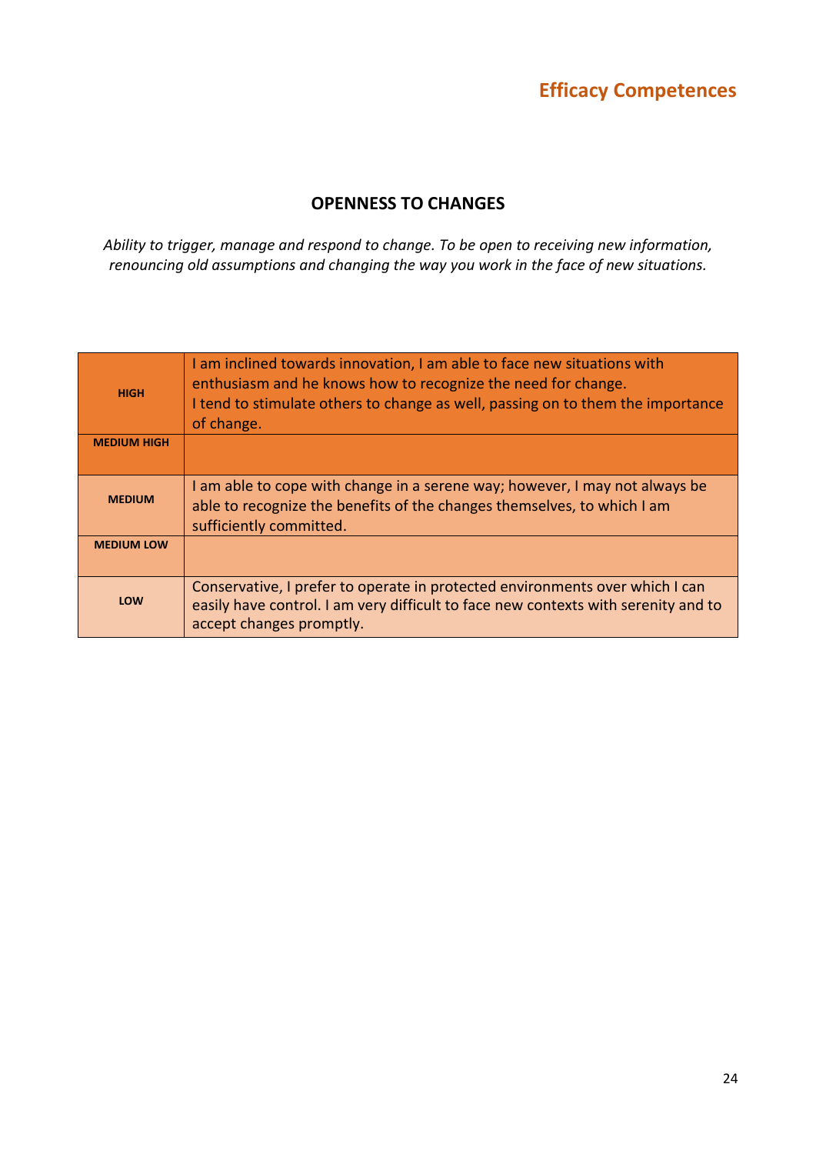### OPENNESS TO CHANGES

*Ability to trigger, manage and respond to change. To be open to receiving new information, renouncing old assumptions and changing the way you work in the face of new situations.*

| <b>HIGH</b>        | I am inclined towards innovation, I am able to face new situations with<br>enthusiasm and he knows how to recognize the need for change.<br>I tend to stimulate others to change as well, passing on to them the importance<br>of change. |
|--------------------|-------------------------------------------------------------------------------------------------------------------------------------------------------------------------------------------------------------------------------------------|
| <b>MEDIUM HIGH</b> |                                                                                                                                                                                                                                           |
| <b>MEDIUM</b>      | I am able to cope with change in a serene way; however, I may not always be<br>able to recognize the benefits of the changes themselves, to which I am<br>sufficiently committed.                                                         |
| <b>MEDIUM LOW</b>  |                                                                                                                                                                                                                                           |
| LOW                | Conservative, I prefer to operate in protected environments over which I can<br>easily have control. I am very difficult to face new contexts with serenity and to<br>accept changes promptly.                                            |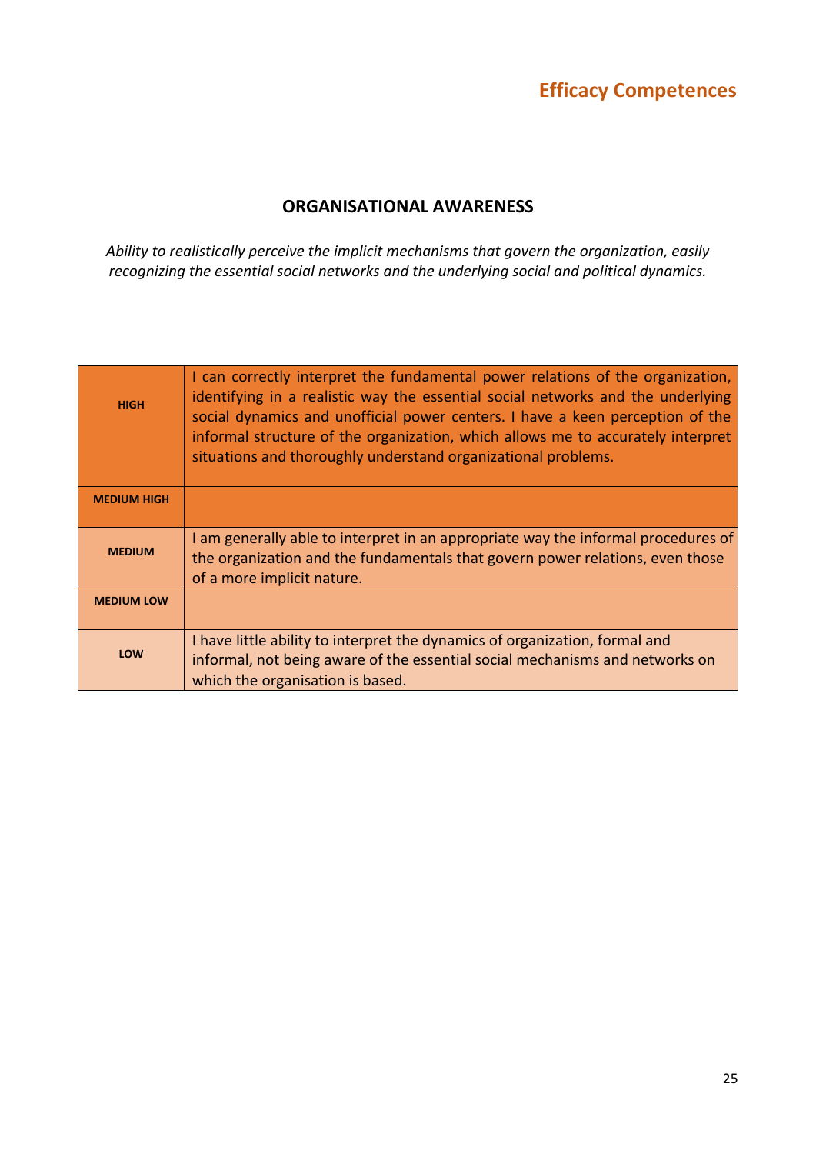### ORGANISATIONAL AWARENESS

*Ability to realistically perceive the implicit mechanisms that govern the organization, easily recognizing the essential social networks and the underlying social and political dynamics.*

| <b>HIGH</b>        | I can correctly interpret the fundamental power relations of the organization,<br>identifying in a realistic way the essential social networks and the underlying<br>social dynamics and unofficial power centers. I have a keen perception of the<br>informal structure of the organization, which allows me to accurately interpret<br>situations and thoroughly understand organizational problems. |
|--------------------|--------------------------------------------------------------------------------------------------------------------------------------------------------------------------------------------------------------------------------------------------------------------------------------------------------------------------------------------------------------------------------------------------------|
| <b>MEDIUM HIGH</b> |                                                                                                                                                                                                                                                                                                                                                                                                        |
| <b>MEDIUM</b>      | I am generally able to interpret in an appropriate way the informal procedures of<br>the organization and the fundamentals that govern power relations, even those<br>of a more implicit nature.                                                                                                                                                                                                       |
| <b>MEDIUM LOW</b>  |                                                                                                                                                                                                                                                                                                                                                                                                        |
| LOW                | I have little ability to interpret the dynamics of organization, formal and<br>informal, not being aware of the essential social mechanisms and networks on<br>which the organisation is based.                                                                                                                                                                                                        |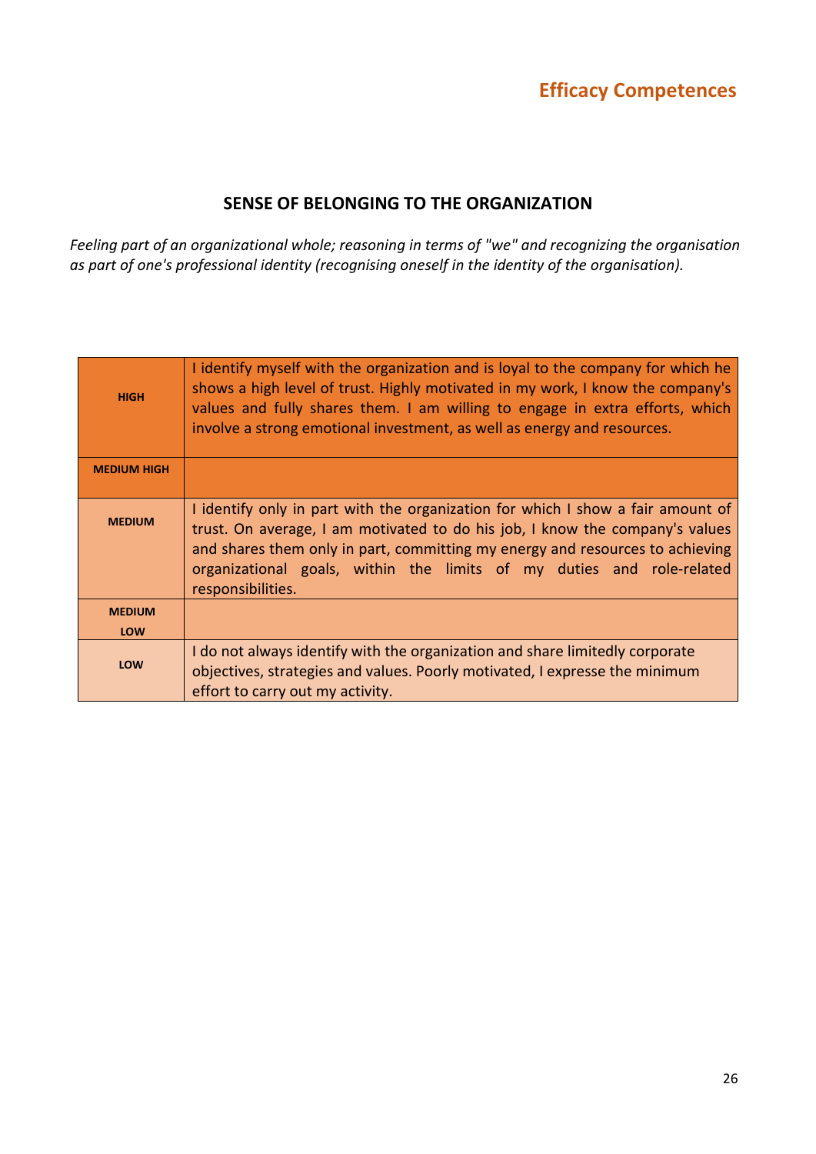### SENSE OF BELONGING TO THE ORGANIZATION

*Feeling part of an organizational whole; reasoning in terms of "we" and recognizing the organisation as part of one's professional identity (recognising oneself in the identity of the organisation).*

| <b>HIGH</b>        | I identify myself with the organization and is loyal to the company for which he<br>shows a high level of trust. Highly motivated in my work, I know the company's<br>values and fully shares them. I am willing to engage in extra efforts, which<br>involve a strong emotional investment, as well as energy and resources.                  |
|--------------------|------------------------------------------------------------------------------------------------------------------------------------------------------------------------------------------------------------------------------------------------------------------------------------------------------------------------------------------------|
| <b>MEDIUM HIGH</b> |                                                                                                                                                                                                                                                                                                                                                |
| <b>MEDIUM</b>      | I identify only in part with the organization for which I show a fair amount of<br>trust. On average, I am motivated to do his job, I know the company's values<br>and shares them only in part, committing my energy and resources to achieving<br>organizational goals, within the limits of my duties and role-related<br>responsibilities. |
| <b>MEDIUM</b>      |                                                                                                                                                                                                                                                                                                                                                |
| LOW                |                                                                                                                                                                                                                                                                                                                                                |
| LOW                | I do not always identify with the organization and share limitedly corporate<br>objectives, strategies and values. Poorly motivated, I expresse the minimum<br>effort to carry out my activity.                                                                                                                                                |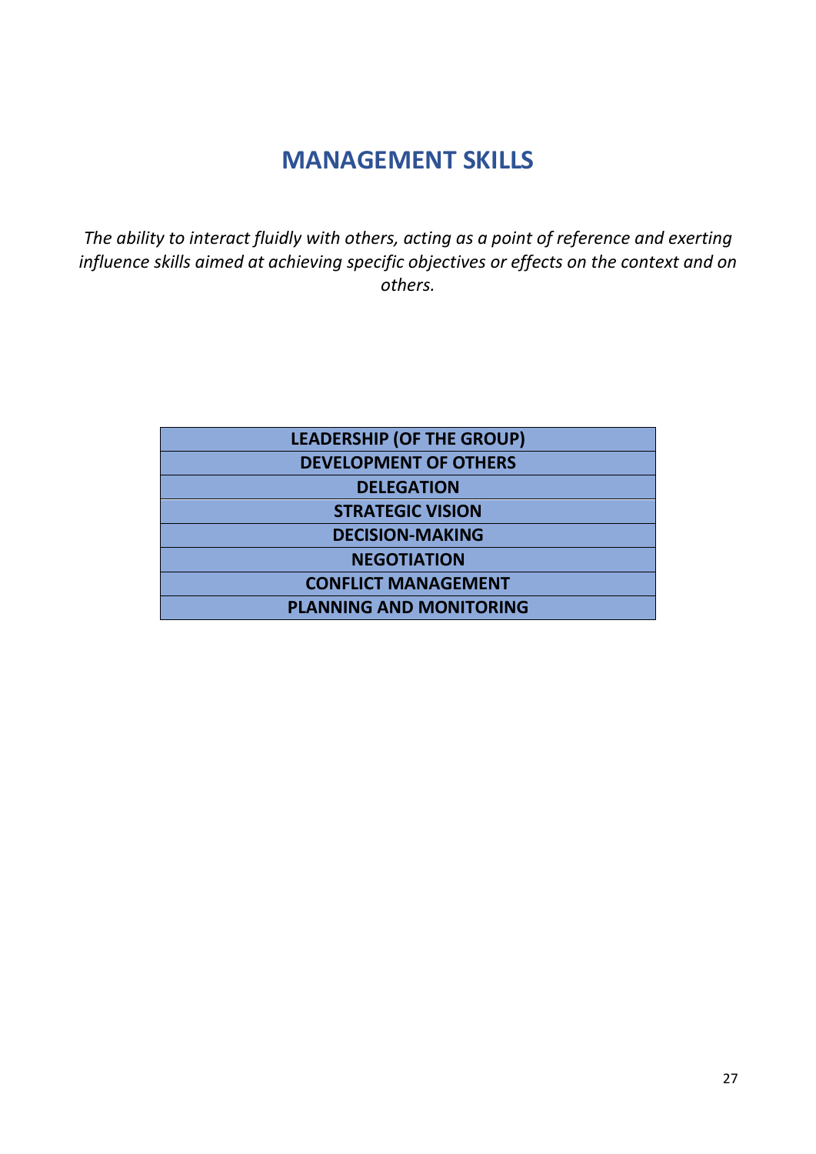# MANAGEMENT SKILLS

*The ability to interact fluidly with others, acting as a point of reference and exerting influence skills aimed at achieving specific objectives or effects on the context and on others.*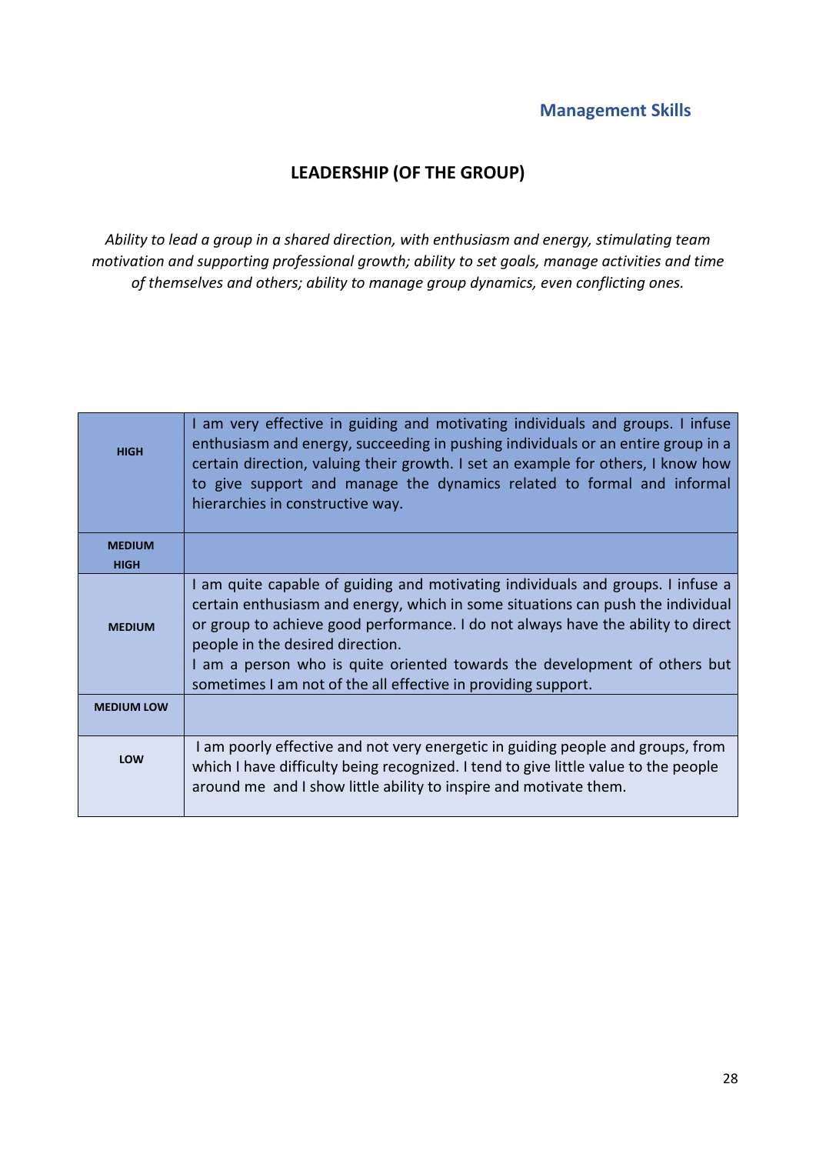## LEADERSHIP (OF THE GROUP)

*Ability to lead a group in a shared direction, with enthusiasm and energy, stimulating team motivation and supporting professional growth; ability to set goals, manage activities and time of themselves and others; ability to manage group dynamics, even conflicting ones.*

| <b>HIGH</b>       | I am very effective in guiding and motivating individuals and groups. I infuse<br>enthusiasm and energy, succeeding in pushing individuals or an entire group in a<br>certain direction, valuing their growth. I set an example for others, I know how<br>to give support and manage the dynamics related to formal and informal<br>hierarchies in constructive way.                                                                     |
|-------------------|------------------------------------------------------------------------------------------------------------------------------------------------------------------------------------------------------------------------------------------------------------------------------------------------------------------------------------------------------------------------------------------------------------------------------------------|
| <b>MEDIUM</b>     |                                                                                                                                                                                                                                                                                                                                                                                                                                          |
| <b>HIGH</b>       |                                                                                                                                                                                                                                                                                                                                                                                                                                          |
| <b>MEDIUM</b>     | I am quite capable of guiding and motivating individuals and groups. I infuse a<br>certain enthusiasm and energy, which in some situations can push the individual<br>or group to achieve good performance. I do not always have the ability to direct<br>people in the desired direction.<br>I am a person who is quite oriented towards the development of others but<br>sometimes I am not of the all effective in providing support. |
| <b>MEDIUM LOW</b> |                                                                                                                                                                                                                                                                                                                                                                                                                                          |
| LOW               | I am poorly effective and not very energetic in guiding people and groups, from<br>which I have difficulty being recognized. I tend to give little value to the people<br>around me and I show little ability to inspire and motivate them.                                                                                                                                                                                              |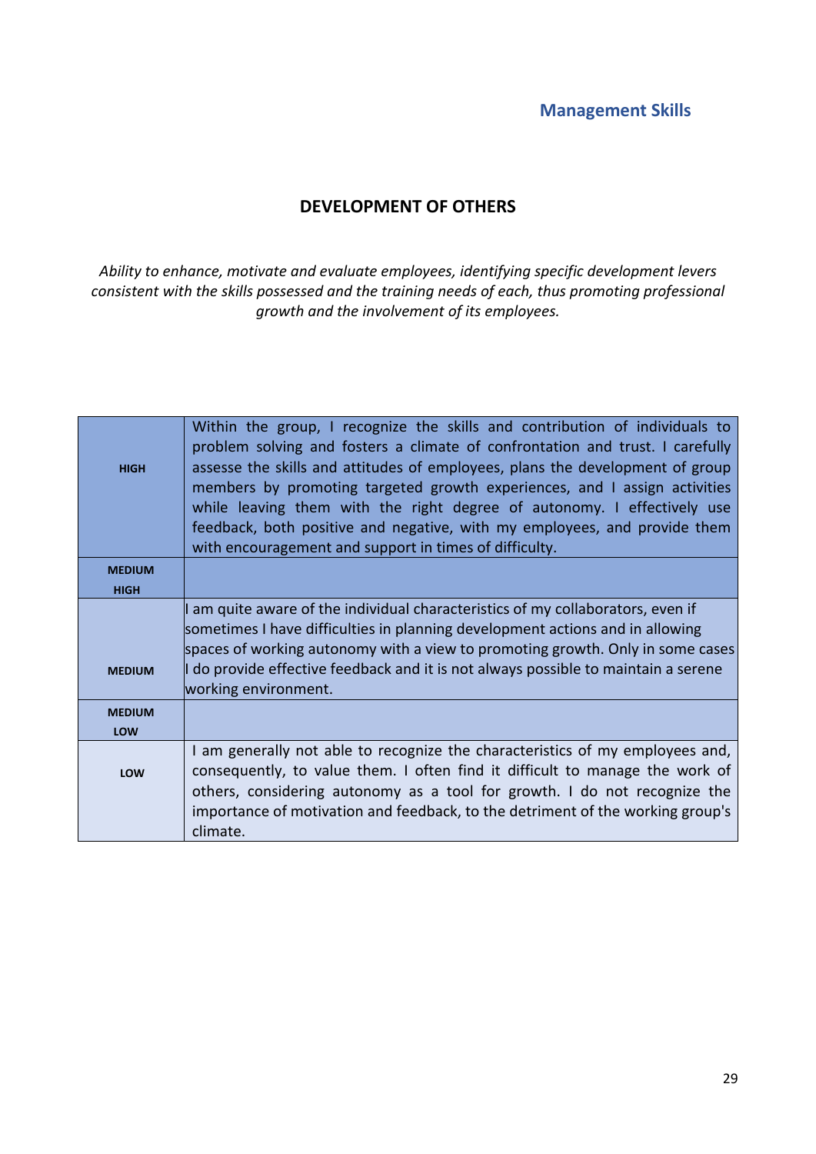## DEVELOPMENT OF OTHERS

*Ability to enhance, motivate and evaluate employees, identifying specific development levers consistent with the skills possessed and the training needs of each, thus promoting professional growth and the involvement of its employees.*

| <b>HIGH</b>   | Within the group, I recognize the skills and contribution of individuals to<br>problem solving and fosters a climate of confrontation and trust. I carefully<br>assesse the skills and attitudes of employees, plans the development of group<br>members by promoting targeted growth experiences, and I assign activities<br>while leaving them with the right degree of autonomy. I effectively use<br>feedback, both positive and negative, with my employees, and provide them<br>with encouragement and support in times of difficulty. |
|---------------|----------------------------------------------------------------------------------------------------------------------------------------------------------------------------------------------------------------------------------------------------------------------------------------------------------------------------------------------------------------------------------------------------------------------------------------------------------------------------------------------------------------------------------------------|
| <b>MEDIUM</b> |                                                                                                                                                                                                                                                                                                                                                                                                                                                                                                                                              |
| <b>HIGH</b>   |                                                                                                                                                                                                                                                                                                                                                                                                                                                                                                                                              |
| <b>MEDIUM</b> | I am quite aware of the individual characteristics of my collaborators, even if<br>sometimes I have difficulties in planning development actions and in allowing<br>spaces of working autonomy with a view to promoting growth. Only in some cases<br>I do provide effective feedback and it is not always possible to maintain a serene<br>working environment.                                                                                                                                                                             |
| <b>MEDIUM</b> |                                                                                                                                                                                                                                                                                                                                                                                                                                                                                                                                              |
| LOW           |                                                                                                                                                                                                                                                                                                                                                                                                                                                                                                                                              |
| LOW           | I am generally not able to recognize the characteristics of my employees and,<br>consequently, to value them. I often find it difficult to manage the work of<br>others, considering autonomy as a tool for growth. I do not recognize the<br>importance of motivation and feedback, to the detriment of the working group's<br>climate.                                                                                                                                                                                                     |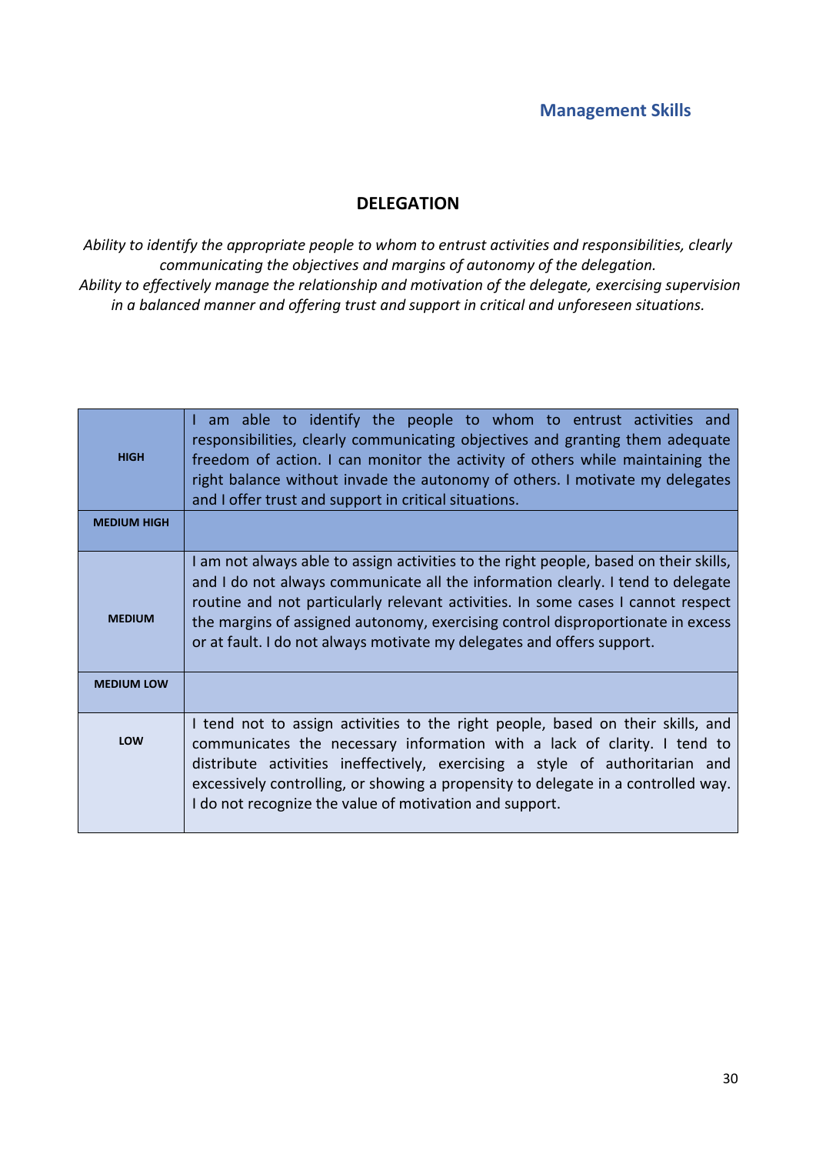### DELEGATION

*Ability to identify the appropriate people to whom to entrust activities and responsibilities, clearly communicating the objectives and margins of autonomy of the delegation. Ability to effectively manage the relationship and motivation of the delegate, exercising supervision in a balanced manner and offering trust and support in critical and unforeseen situations.*

| <b>HIGH</b>        | I am able to identify the people to whom to entrust activities and<br>responsibilities, clearly communicating objectives and granting them adequate<br>freedom of action. I can monitor the activity of others while maintaining the<br>right balance without invade the autonomy of others. I motivate my delegates<br>and I offer trust and support in critical situations.                                             |
|--------------------|---------------------------------------------------------------------------------------------------------------------------------------------------------------------------------------------------------------------------------------------------------------------------------------------------------------------------------------------------------------------------------------------------------------------------|
| <b>MEDIUM HIGH</b> |                                                                                                                                                                                                                                                                                                                                                                                                                           |
| <b>MEDIUM</b>      | I am not always able to assign activities to the right people, based on their skills,<br>and I do not always communicate all the information clearly. I tend to delegate<br>routine and not particularly relevant activities. In some cases I cannot respect<br>the margins of assigned autonomy, exercising control disproportionate in excess<br>or at fault. I do not always motivate my delegates and offers support. |
| <b>MEDIUM LOW</b>  |                                                                                                                                                                                                                                                                                                                                                                                                                           |
| LOW                | I tend not to assign activities to the right people, based on their skills, and<br>communicates the necessary information with a lack of clarity. I tend to<br>distribute activities ineffectively, exercising a style of authoritarian and<br>excessively controlling, or showing a propensity to delegate in a controlled way.<br>I do not recognize the value of motivation and support.                               |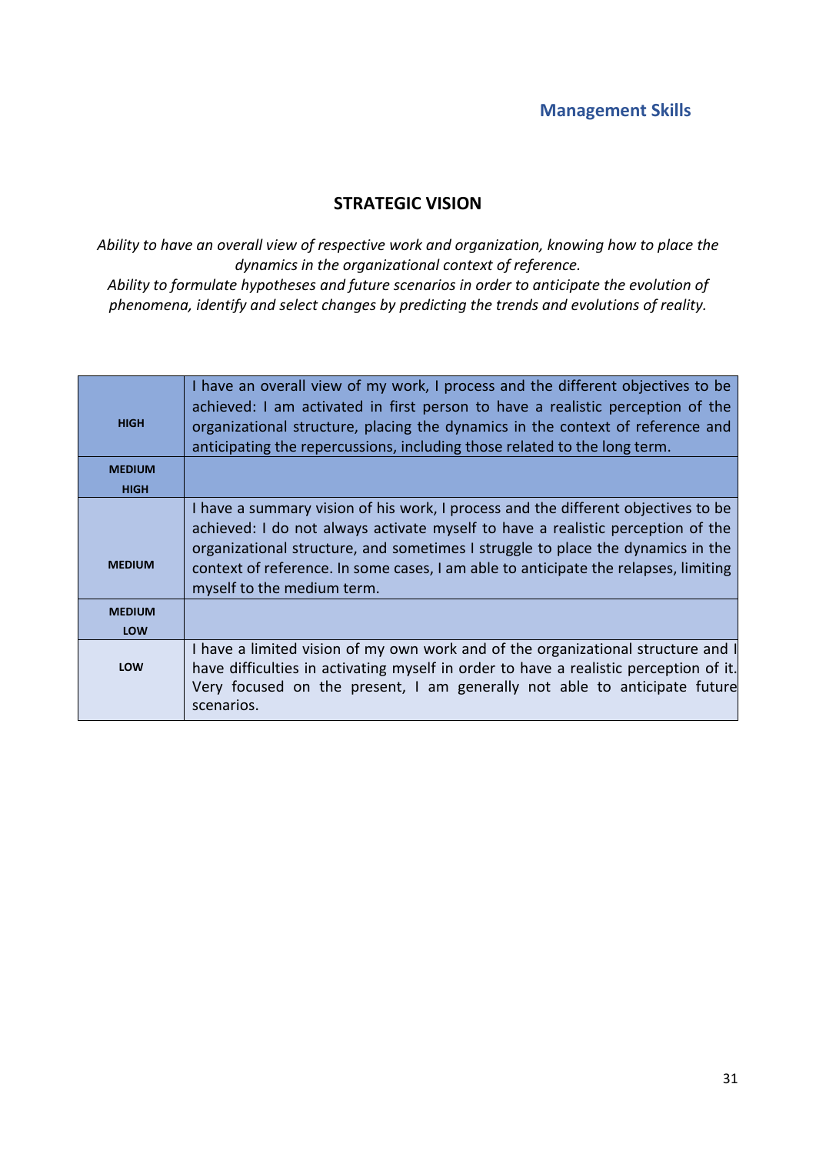### STRATEGIC VISION

*Ability to have an overall view of respective work and organization, knowing how to place the dynamics in the organizational context of reference.* 

*Ability to formulate hypotheses and future scenarios in order to anticipate the evolution of phenomena, identify and select changes by predicting the trends and evolutions of reality.*

| <b>HIGH</b>   | I have an overall view of my work, I process and the different objectives to be<br>achieved: I am activated in first person to have a realistic perception of the<br>organizational structure, placing the dynamics in the context of reference and<br>anticipating the repercussions, including those related to the long term.                                             |
|---------------|------------------------------------------------------------------------------------------------------------------------------------------------------------------------------------------------------------------------------------------------------------------------------------------------------------------------------------------------------------------------------|
| <b>MEDIUM</b> |                                                                                                                                                                                                                                                                                                                                                                              |
| <b>HIGH</b>   |                                                                                                                                                                                                                                                                                                                                                                              |
| <b>MEDIUM</b> | I have a summary vision of his work, I process and the different objectives to be<br>achieved: I do not always activate myself to have a realistic perception of the<br>organizational structure, and sometimes I struggle to place the dynamics in the<br>context of reference. In some cases, I am able to anticipate the relapses, limiting<br>myself to the medium term. |
| <b>MEDIUM</b> |                                                                                                                                                                                                                                                                                                                                                                              |
| LOW           |                                                                                                                                                                                                                                                                                                                                                                              |
| LOW           | I have a limited vision of my own work and of the organizational structure and I<br>have difficulties in activating myself in order to have a realistic perception of it.<br>Very focused on the present, I am generally not able to anticipate future<br>scenarios.                                                                                                         |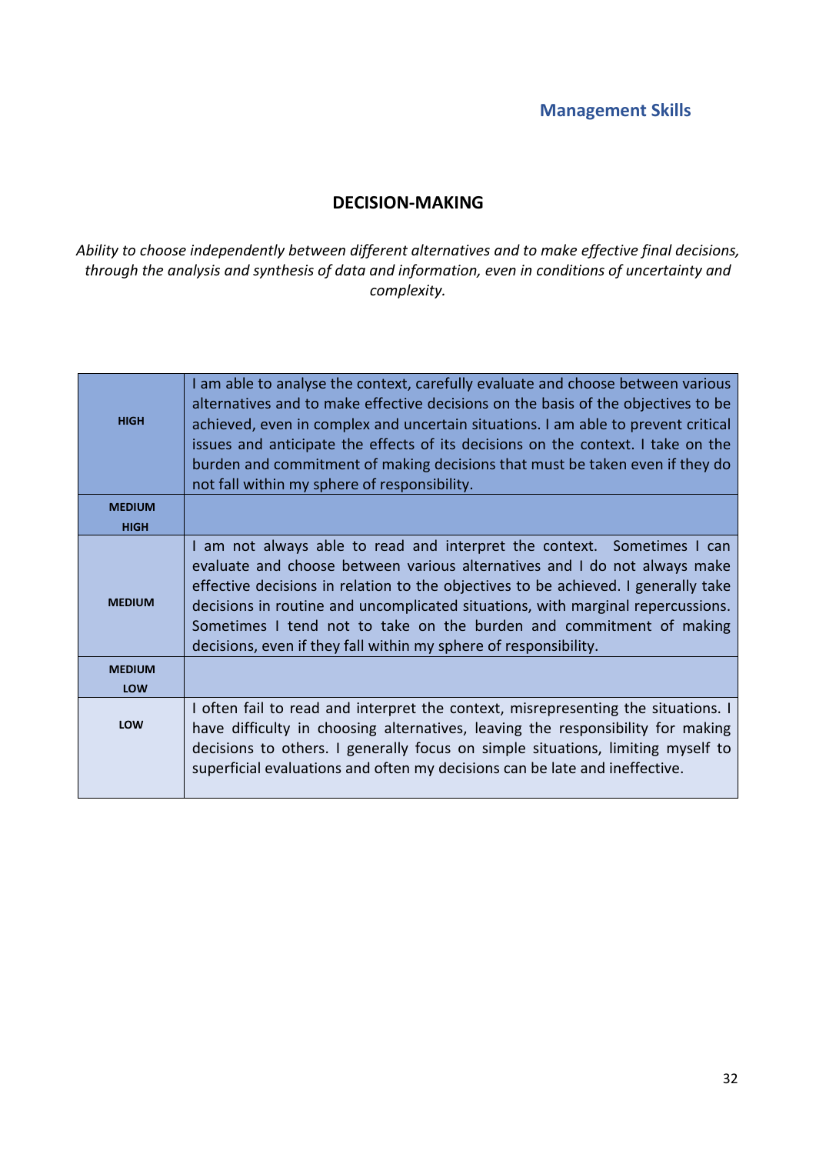#### DECISION-MAKING

*Ability to choose independently between different alternatives and to make effective final decisions, through the analysis and synthesis of data and information, even in conditions of uncertainty and complexity.*

| <b>HIGH</b>   | I am able to analyse the context, carefully evaluate and choose between various<br>alternatives and to make effective decisions on the basis of the objectives to be<br>achieved, even in complex and uncertain situations. I am able to prevent critical<br>issues and anticipate the effects of its decisions on the context. I take on the<br>burden and commitment of making decisions that must be taken even if they do<br>not fall within my sphere of responsibility. |
|---------------|-------------------------------------------------------------------------------------------------------------------------------------------------------------------------------------------------------------------------------------------------------------------------------------------------------------------------------------------------------------------------------------------------------------------------------------------------------------------------------|
| <b>MEDIUM</b> |                                                                                                                                                                                                                                                                                                                                                                                                                                                                               |
| <b>HIGH</b>   |                                                                                                                                                                                                                                                                                                                                                                                                                                                                               |
| <b>MEDIUM</b> | I am not always able to read and interpret the context. Sometimes I can<br>evaluate and choose between various alternatives and I do not always make<br>effective decisions in relation to the objectives to be achieved. I generally take<br>decisions in routine and uncomplicated situations, with marginal repercussions.<br>Sometimes I tend not to take on the burden and commitment of making<br>decisions, even if they fall within my sphere of responsibility.      |
| <b>MEDIUM</b> |                                                                                                                                                                                                                                                                                                                                                                                                                                                                               |
| LOW           |                                                                                                                                                                                                                                                                                                                                                                                                                                                                               |
| <b>LOW</b>    | I often fail to read and interpret the context, misrepresenting the situations. I<br>have difficulty in choosing alternatives, leaving the responsibility for making<br>decisions to others. I generally focus on simple situations, limiting myself to<br>superficial evaluations and often my decisions can be late and ineffective.                                                                                                                                        |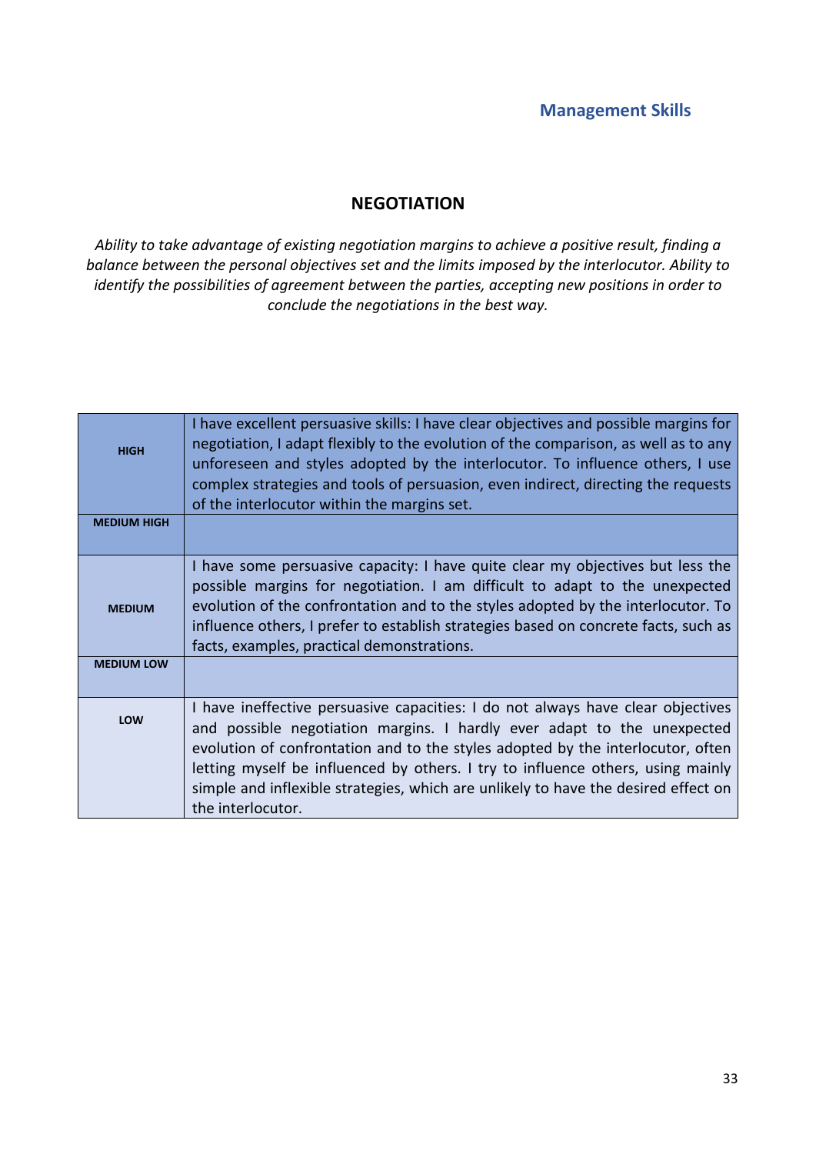### **NEGOTIATION**

*Ability to take advantage of existing negotiation margins to achieve a positive result, finding a balance between the personal objectives set and the limits imposed by the interlocutor. Ability to identify the possibilities of agreement between the parties, accepting new positions in order to conclude the negotiations in the best way.*

| <b>HIGH</b>                        | I have excellent persuasive skills: I have clear objectives and possible margins for<br>negotiation, I adapt flexibly to the evolution of the comparison, as well as to any<br>unforeseen and styles adopted by the interlocutor. To influence others, I use<br>complex strategies and tools of persuasion, even indirect, directing the requests<br>of the interlocutor within the margins set.                                            |
|------------------------------------|---------------------------------------------------------------------------------------------------------------------------------------------------------------------------------------------------------------------------------------------------------------------------------------------------------------------------------------------------------------------------------------------------------------------------------------------|
| <b>MEDIUM HIGH</b>                 |                                                                                                                                                                                                                                                                                                                                                                                                                                             |
| <b>MEDIUM</b><br><b>MEDIUM LOW</b> | I have some persuasive capacity: I have quite clear my objectives but less the<br>possible margins for negotiation. I am difficult to adapt to the unexpected<br>evolution of the confrontation and to the styles adopted by the interlocutor. To<br>influence others, I prefer to establish strategies based on concrete facts, such as<br>facts, examples, practical demonstrations.                                                      |
|                                    |                                                                                                                                                                                                                                                                                                                                                                                                                                             |
| LOW                                | I have ineffective persuasive capacities: I do not always have clear objectives<br>and possible negotiation margins. I hardly ever adapt to the unexpected<br>evolution of confrontation and to the styles adopted by the interlocutor, often<br>letting myself be influenced by others. I try to influence others, using mainly<br>simple and inflexible strategies, which are unlikely to have the desired effect on<br>the interlocutor. |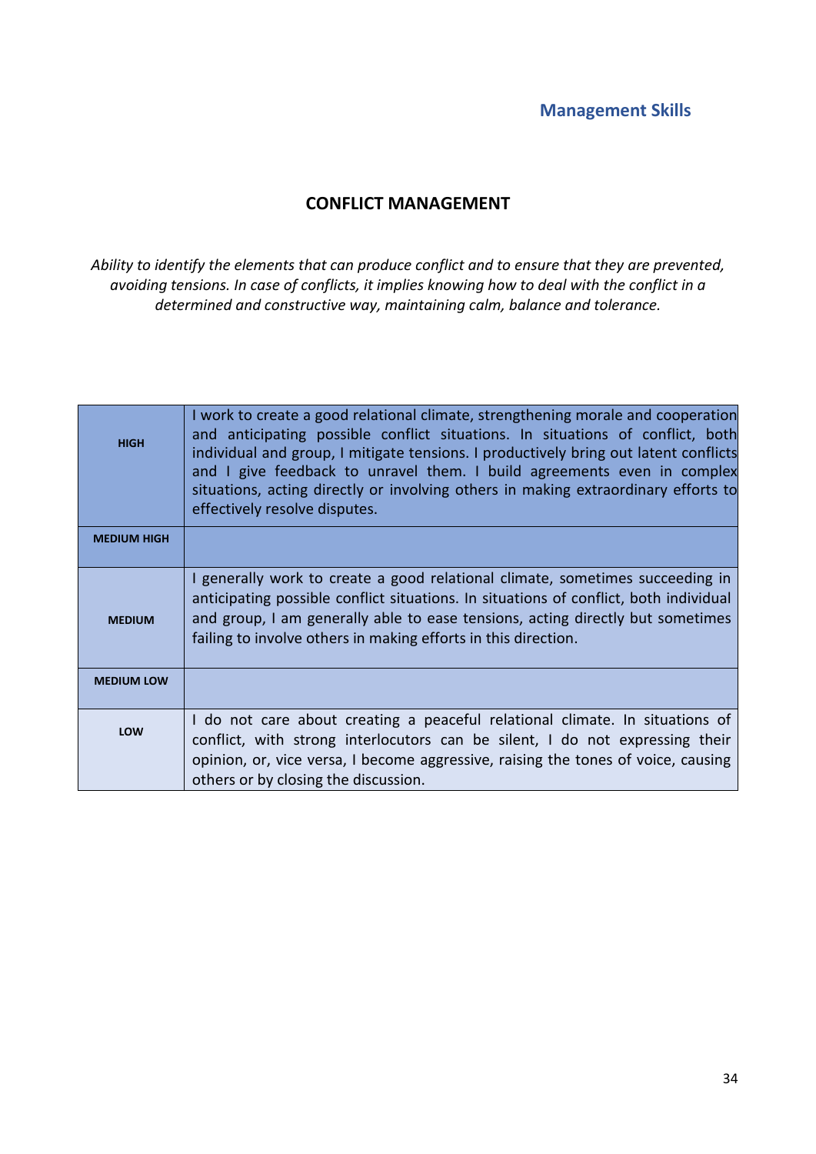### CONFLICT MANAGEMENT

*Ability to identify the elements that can produce conflict and to ensure that they are prevented, avoiding tensions. In case of conflicts, it implies knowing how to deal with the conflict in a determined and constructive way, maintaining calm, balance and tolerance.*

| <b>HIGH</b>        | I work to create a good relational climate, strengthening morale and cooperation<br>and anticipating possible conflict situations. In situations of conflict, both<br>individual and group, I mitigate tensions. I productively bring out latent conflicts<br>and I give feedback to unravel them. I build agreements even in complex<br>situations, acting directly or involving others in making extraordinary efforts to<br>effectively resolve disputes. |
|--------------------|--------------------------------------------------------------------------------------------------------------------------------------------------------------------------------------------------------------------------------------------------------------------------------------------------------------------------------------------------------------------------------------------------------------------------------------------------------------|
| <b>MEDIUM HIGH</b> |                                                                                                                                                                                                                                                                                                                                                                                                                                                              |
| <b>MEDIUM</b>      | I generally work to create a good relational climate, sometimes succeeding in<br>anticipating possible conflict situations. In situations of conflict, both individual<br>and group, I am generally able to ease tensions, acting directly but sometimes<br>failing to involve others in making efforts in this direction.                                                                                                                                   |
| <b>MEDIUM LOW</b>  |                                                                                                                                                                                                                                                                                                                                                                                                                                                              |
| LOW                | I do not care about creating a peaceful relational climate. In situations of<br>conflict, with strong interlocutors can be silent, I do not expressing their<br>opinion, or, vice versa, I become aggressive, raising the tones of voice, causing<br>others or by closing the discussion.                                                                                                                                                                    |